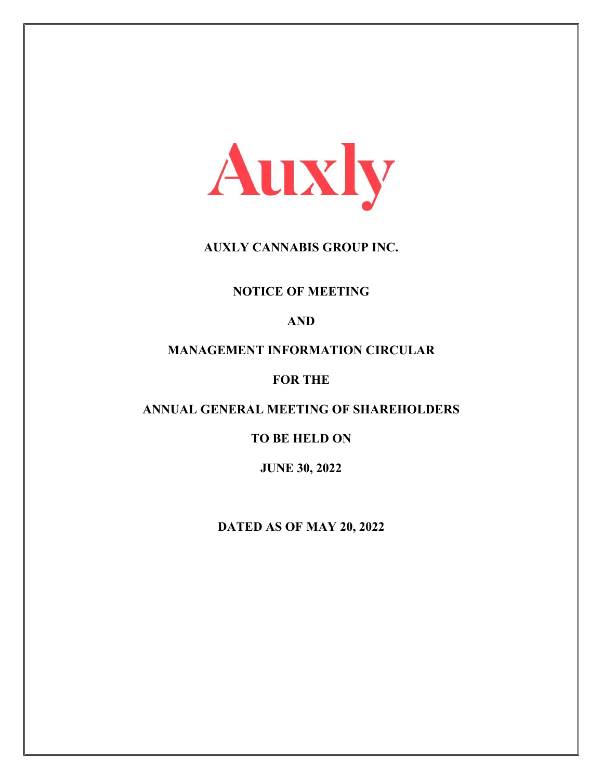

# **AUXLY CANNABIS GROUP INC.**

# **NOTICE OF MEETING**

# **AND**

# **MANAGEMENT INFORMATION CIRCULAR**

# **FOR THE**

# **ANNUAL GENERAL MEETING OF SHAREHOLDERS**

# **TO BE HELD ON**

# **JUNE 30, 2022**

# **DATED AS OF MAY 20, 2022**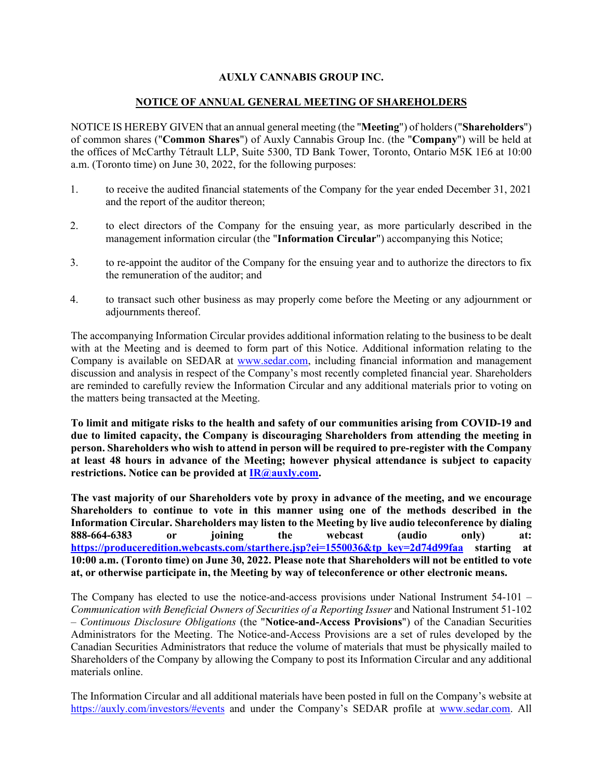# **AUXLY CANNABIS GROUP INC.**

# **NOTICE OF ANNUAL GENERAL MEETING OF SHAREHOLDERS**

NOTICE IS HEREBY GIVEN that an annual general meeting (the "**Meeting**") of holders ("**Shareholders**") of common shares ("**Common Shares**") of Auxly Cannabis Group Inc. (the "**Company**") will be held at the offices of McCarthy Tétrault LLP, Suite 5300, TD Bank Tower, Toronto, Ontario M5K 1E6 at 10:00 a.m. (Toronto time) on June 30, 2022, for the following purposes:

- 1. to receive the audited financial statements of the Company for the year ended December 31, 2021 and the report of the auditor thereon;
- 2. to elect directors of the Company for the ensuing year, as more particularly described in the management information circular (the "**Information Circular**") accompanying this Notice;
- 3. to re-appoint the auditor of the Company for the ensuing year and to authorize the directors to fix the remuneration of the auditor; and
- 4. to transact such other business as may properly come before the Meeting or any adjournment or adjournments thereof.

The accompanying Information Circular provides additional information relating to the business to be dealt with at the Meeting and is deemed to form part of this Notice. Additional information relating to the Company is available on SEDAR at [www.sedar.com,](http://www.sedar.com/) including financial information and management discussion and analysis in respect of the Company's most recently completed financial year. Shareholders are reminded to carefully review the Information Circular and any additional materials prior to voting on the matters being transacted at the Meeting.

**To limit and mitigate risks to the health and safety of our communities arising from COVID-19 and due to limited capacity, the Company is discouraging Shareholders from attending the meeting in person. Shareholders who wish to attend in person will be required to pre-register with the Company at least 48 hours in advance of the Meeting; however physical attendance is subject to capacity restrictions. Notice can be provided at [IR@auxly.com.](mailto:IR@auxly.com)** 

**The vast majority of our Shareholders vote by proxy in advance of the meeting, and we encourage Shareholders to continue to vote in this manner using one of the methods described in the Information Circular. Shareholders may listen to the Meeting by live audio teleconference by dialing 888-664-6383 or joining the webcast (audio only) at: [https://produceredition.webcasts.com/starthere.jsp?ei=1550036&tp\\_key=2d74d99faa](https://produceredition.webcasts.com/starthere.jsp?ei=1550036&tp_key=2d74d99faa) starting at 10:00 a.m. (Toronto time) on June 30, 2022. Please note that Shareholders will not be entitled to vote at, or otherwise participate in, the Meeting by way of teleconference or other electronic means.**

The Company has elected to use the notice-and-access provisions under National Instrument 54-101 – *Communication with Beneficial Owners of Securities of a Reporting Issuer* and National Instrument 51-102 – *Continuous Disclosure Obligations* (the "**Notice-and-Access Provisions**") of the Canadian Securities Administrators for the Meeting. The Notice-and-Access Provisions are a set of rules developed by the Canadian Securities Administrators that reduce the volume of materials that must be physically mailed to Shareholders of the Company by allowing the Company to post its Information Circular and any additional materials online.

The Information Circular and all additional materials have been posted in full on the Company's website at <https://auxly.com/investors/#events> and under the Company's SEDAR profile at [www.sedar.com.](http://www.sedar.com/) All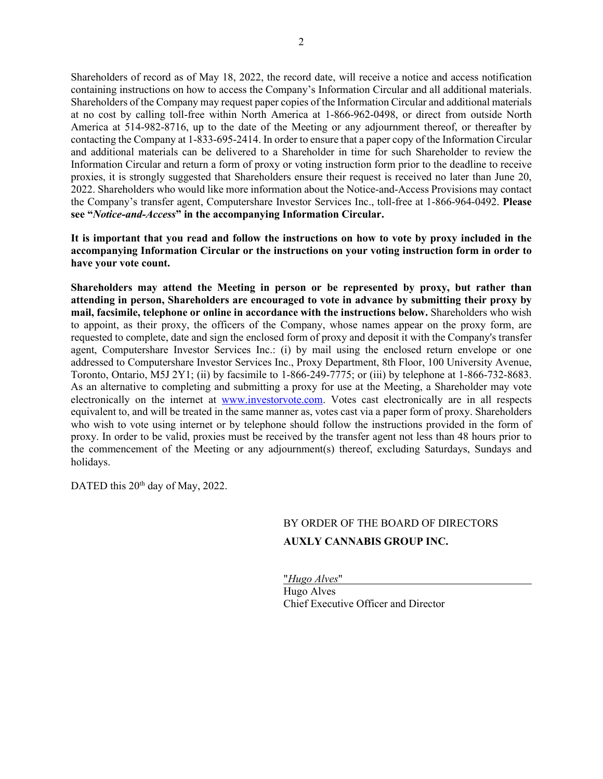Shareholders of record as of May 18, 2022, the record date, will receive a notice and access notification containing instructions on how to access the Company's Information Circular and all additional materials. Shareholders of the Company may request paper copies of the Information Circular and additional materials at no cost by calling toll-free within North America at 1-866-962-0498, or direct from outside North America at 514-982-8716, up to the date of the Meeting or any adjournment thereof, or thereafter by contacting the Company at 1-833-695-2414. In order to ensure that a paper copy of the Information Circular and additional materials can be delivered to a Shareholder in time for such Shareholder to review the Information Circular and return a form of proxy or voting instruction form prior to the deadline to receive proxies, it is strongly suggested that Shareholders ensure their request is received no later than June 20, 2022. Shareholders who would like more information about the Notice-and-Access Provisions may contact the Company's transfer agent, Computershare Investor Services Inc., toll-free at 1-866-964-0492. **Please see "***Notice-and-Access***" in the accompanying Information Circular.**

**It is important that you read and follow the instructions on how to vote by proxy included in the accompanying Information Circular or the instructions on your voting instruction form in order to have your vote count.** 

**Shareholders may attend the Meeting in person or be represented by proxy, but rather than attending in person, Shareholders are encouraged to vote in advance by submitting their proxy by mail, facsimile, telephone or online in accordance with the instructions below.** Shareholders who wish to appoint, as their proxy, the officers of the Company, whose names appear on the proxy form, are requested to complete, date and sign the enclosed form of proxy and deposit it with the Company's transfer agent, Computershare Investor Services Inc.: (i) by mail using the enclosed return envelope or one addressed to Computershare Investor Services Inc., Proxy Department, 8th Floor, 100 University Avenue, Toronto, Ontario, M5J 2Y1; (ii) by facsimile to 1-866-249-7775; or (iii) by telephone at 1-866-732-8683. As an alternative to completing and submitting a proxy for use at the Meeting, a Shareholder may vote electronically on the internet at [www.investorvote.com.](http://www.investorvote.com/) Votes cast electronically are in all respects equivalent to, and will be treated in the same manner as, votes cast via a paper form of proxy. Shareholders who wish to vote using internet or by telephone should follow the instructions provided in the form of proxy. In order to be valid, proxies must be received by the transfer agent not less than 48 hours prior to the commencement of the Meeting or any adjournment(s) thereof, excluding Saturdays, Sundays and holidays.

DATED this 20<sup>th</sup> day of May, 2022.

# BY ORDER OF THE BOARD OF DIRECTORS **AUXLY CANNABIS GROUP INC.**

"*Hugo Alves*" Hugo Alves Chief Executive Officer and Director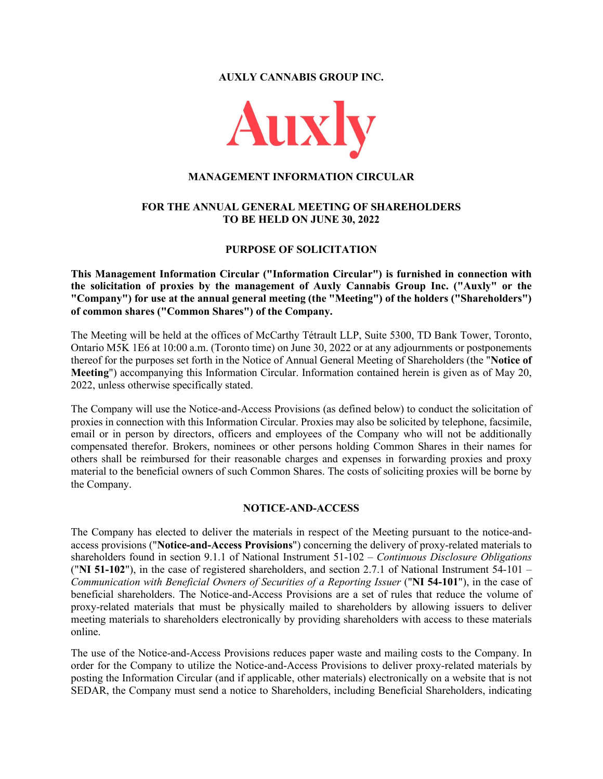**AUXLY CANNABIS GROUP INC.** 



#### **MANAGEMENT INFORMATION CIRCULAR**

# **FOR THE ANNUAL GENERAL MEETING OF SHAREHOLDERS TO BE HELD ON JUNE 30, 2022**

# **PURPOSE OF SOLICITATION**

**This Management Information Circular ("Information Circular") is furnished in connection with the solicitation of proxies by the management of Auxly Cannabis Group Inc. ("Auxly" or the "Company") for use at the annual general meeting (the "Meeting") of the holders ("Shareholders") of common shares ("Common Shares") of the Company.**

The Meeting will be held at the offices of McCarthy Tétrault LLP, Suite 5300, TD Bank Tower, Toronto, Ontario M5K 1E6 at 10:00 a.m. (Toronto time) on June 30, 2022 or at any adjournments or postponements thereof for the purposes set forth in the Notice of Annual General Meeting of Shareholders (the "**Notice of Meeting**") accompanying this Information Circular. Information contained herein is given as of May 20, 2022, unless otherwise specifically stated.

The Company will use the Notice-and-Access Provisions (as defined below) to conduct the solicitation of proxies in connection with this Information Circular. Proxies may also be solicited by telephone, facsimile, email or in person by directors, officers and employees of the Company who will not be additionally compensated therefor. Brokers, nominees or other persons holding Common Shares in their names for others shall be reimbursed for their reasonable charges and expenses in forwarding proxies and proxy material to the beneficial owners of such Common Shares. The costs of soliciting proxies will be borne by the Company.

# **NOTICE-AND-ACCESS**

The Company has elected to deliver the materials in respect of the Meeting pursuant to the notice-andaccess provisions ("**Notice-and-Access Provisions**") concerning the delivery of proxy-related materials to shareholders found in section 9.1.1 of National Instrument 51-102 – *Continuous Disclosure Obligations*  ("**NI 51-102**"), in the case of registered shareholders, and section 2.7.1 of National Instrument 54-101 – *Communication with Beneficial Owners of Securities of a Reporting Issuer* ("**NI 54-101**"), in the case of beneficial shareholders. The Notice-and-Access Provisions are a set of rules that reduce the volume of proxy-related materials that must be physically mailed to shareholders by allowing issuers to deliver meeting materials to shareholders electronically by providing shareholders with access to these materials online.

The use of the Notice-and-Access Provisions reduces paper waste and mailing costs to the Company. In order for the Company to utilize the Notice-and-Access Provisions to deliver proxy-related materials by posting the Information Circular (and if applicable, other materials) electronically on a website that is not SEDAR, the Company must send a notice to Shareholders, including Beneficial Shareholders, indicating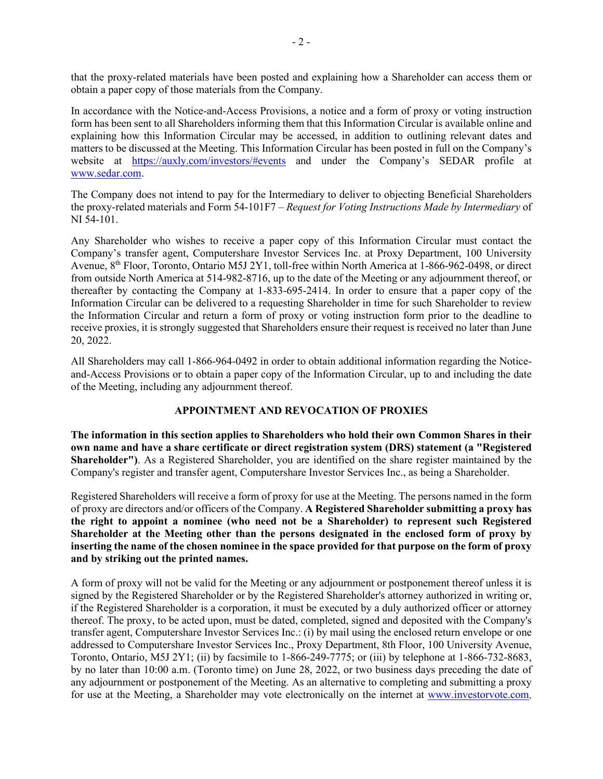that the proxy-related materials have been posted and explaining how a Shareholder can access them or obtain a paper copy of those materials from the Company.

In accordance with the Notice-and-Access Provisions, a notice and a form of proxy or voting instruction form has been sent to all Shareholders informing them that this Information Circular is available online and explaining how this Information Circular may be accessed, in addition to outlining relevant dates and matters to be discussed at the Meeting. This Information Circular has been posted in full on the Company's website at <https://auxly.com/investors/#events> and under the Company's SEDAR profile at [www.sedar.com.](http://www.sedar.com/)

The Company does not intend to pay for the Intermediary to deliver to objecting Beneficial Shareholders the proxy-related materials and Form 54-101F7 – *Request for Voting Instructions Made by Intermediary* of NI 54-101.

Any Shareholder who wishes to receive a paper copy of this Information Circular must contact the Company's transfer agent, Computershare Investor Services Inc. at Proxy Department, 100 University Avenue, 8th Floor, Toronto, Ontario M5J 2Y1, toll-free within North America at 1-866-962-0498, or direct from outside North America at 514-982-8716, up to the date of the Meeting or any adjournment thereof, or thereafter by contacting the Company at 1-833-695-2414. In order to ensure that a paper copy of the Information Circular can be delivered to a requesting Shareholder in time for such Shareholder to review the Information Circular and return a form of proxy or voting instruction form prior to the deadline to receive proxies, it is strongly suggested that Shareholders ensure their request is received no later than June 20, 2022.

All Shareholders may call 1-866-964-0492 in order to obtain additional information regarding the Noticeand-Access Provisions or to obtain a paper copy of the Information Circular, up to and including the date of the Meeting, including any adjournment thereof.

# **APPOINTMENT AND REVOCATION OF PROXIES**

**The information in this section applies to Shareholders who hold their own Common Shares in their own name and have a share certificate or direct registration system (DRS) statement (a "Registered Shareholder")**. As a Registered Shareholder, you are identified on the share register maintained by the Company's register and transfer agent, Computershare Investor Services Inc., as being a Shareholder.

Registered Shareholders will receive a form of proxy for use at the Meeting. The persons named in the form of proxy are directors and/or officers of the Company. **A Registered Shareholder submitting a proxy has the right to appoint a nominee (who need not be a Shareholder) to represent such Registered Shareholder at the Meeting other than the persons designated in the enclosed form of proxy by inserting the name of the chosen nominee in the space provided for that purpose on the form of proxy and by striking out the printed names.**

A form of proxy will not be valid for the Meeting or any adjournment or postponement thereof unless it is signed by the Registered Shareholder or by the Registered Shareholder's attorney authorized in writing or, if the Registered Shareholder is a corporation, it must be executed by a duly authorized officer or attorney thereof. The proxy, to be acted upon, must be dated, completed, signed and deposited with the Company's transfer agent, Computershare Investor Services Inc.: (i) by mail using the enclosed return envelope or one addressed to Computershare Investor Services Inc., Proxy Department, 8th Floor, 100 University Avenue, Toronto, Ontario, M5J 2Y1; (ii) by facsimile to 1-866-249-7775; or (iii) by telephone at 1-866-732-8683, by no later than 10:00 a.m. (Toronto time) on June 28, 2022, or two business days preceding the date of any adjournment or postponement of the Meeting. As an alternative to completing and submitting a proxy for use at the Meeting, a Shareholder may vote electronically on the internet at [www.investorvote.com.](http://www.investorvote.com/)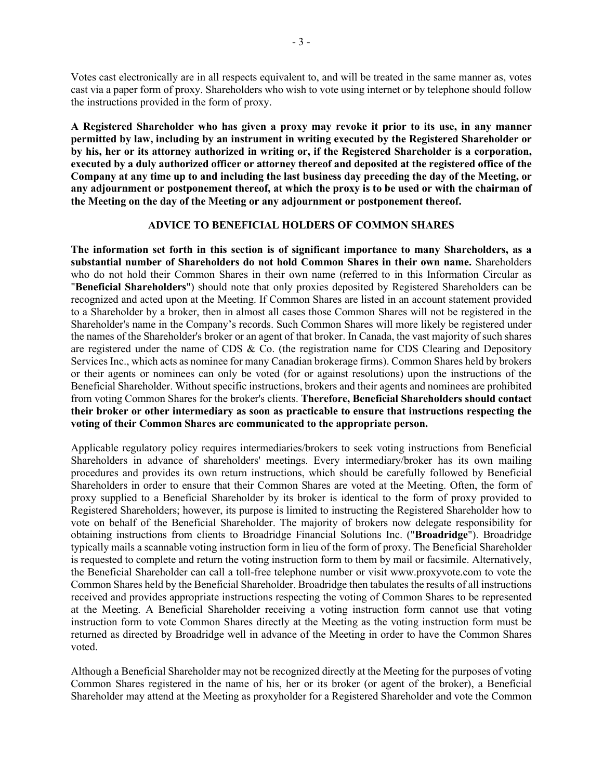Votes cast electronically are in all respects equivalent to, and will be treated in the same manner as, votes cast via a paper form of proxy. Shareholders who wish to vote using internet or by telephone should follow the instructions provided in the form of proxy.

**A Registered Shareholder who has given a proxy may revoke it prior to its use, in any manner permitted by law, including by an instrument in writing executed by the Registered Shareholder or by his, her or its attorney authorized in writing or, if the Registered Shareholder is a corporation, executed by a duly authorized officer or attorney thereof and deposited at the registered office of the Company at any time up to and including the last business day preceding the day of the Meeting, or any adjournment or postponement thereof, at which the proxy is to be used or with the chairman of the Meeting on the day of the Meeting or any adjournment or postponement thereof.**

#### **ADVICE TO BENEFICIAL HOLDERS OF COMMON SHARES**

**The information set forth in this section is of significant importance to many Shareholders, as a substantial number of Shareholders do not hold Common Shares in their own name.** Shareholders who do not hold their Common Shares in their own name (referred to in this Information Circular as "**Beneficial Shareholders**") should note that only proxies deposited by Registered Shareholders can be recognized and acted upon at the Meeting. If Common Shares are listed in an account statement provided to a Shareholder by a broker, then in almost all cases those Common Shares will not be registered in the Shareholder's name in the Company's records. Such Common Shares will more likely be registered under the names of the Shareholder's broker or an agent of that broker. In Canada, the vast majority of such shares are registered under the name of CDS & Co. (the registration name for CDS Clearing and Depository Services Inc., which acts as nominee for many Canadian brokerage firms). Common Shares held by brokers or their agents or nominees can only be voted (for or against resolutions) upon the instructions of the Beneficial Shareholder. Without specific instructions, brokers and their agents and nominees are prohibited from voting Common Shares for the broker's clients. **Therefore, Beneficial Shareholders should contact their broker or other intermediary as soon as practicable to ensure that instructions respecting the voting of their Common Shares are communicated to the appropriate person.**

Applicable regulatory policy requires intermediaries/brokers to seek voting instructions from Beneficial Shareholders in advance of shareholders' meetings. Every intermediary/broker has its own mailing procedures and provides its own return instructions, which should be carefully followed by Beneficial Shareholders in order to ensure that their Common Shares are voted at the Meeting. Often, the form of proxy supplied to a Beneficial Shareholder by its broker is identical to the form of proxy provided to Registered Shareholders; however, its purpose is limited to instructing the Registered Shareholder how to vote on behalf of the Beneficial Shareholder. The majority of brokers now delegate responsibility for obtaining instructions from clients to Broadridge Financial Solutions Inc. ("**Broadridge**"). Broadridge typically mails a scannable voting instruction form in lieu of the form of proxy. The Beneficial Shareholder is requested to complete and return the voting instruction form to them by mail or facsimile. Alternatively, the Beneficial Shareholder can call a toll-free telephone number or visit www.proxyvote.com to vote the Common Shares held by the Beneficial Shareholder. Broadridge then tabulates the results of all instructions received and provides appropriate instructions respecting the voting of Common Shares to be represented at the Meeting. A Beneficial Shareholder receiving a voting instruction form cannot use that voting instruction form to vote Common Shares directly at the Meeting as the voting instruction form must be returned as directed by Broadridge well in advance of the Meeting in order to have the Common Shares voted.

Although a Beneficial Shareholder may not be recognized directly at the Meeting for the purposes of voting Common Shares registered in the name of his, her or its broker (or agent of the broker), a Beneficial Shareholder may attend at the Meeting as proxyholder for a Registered Shareholder and vote the Common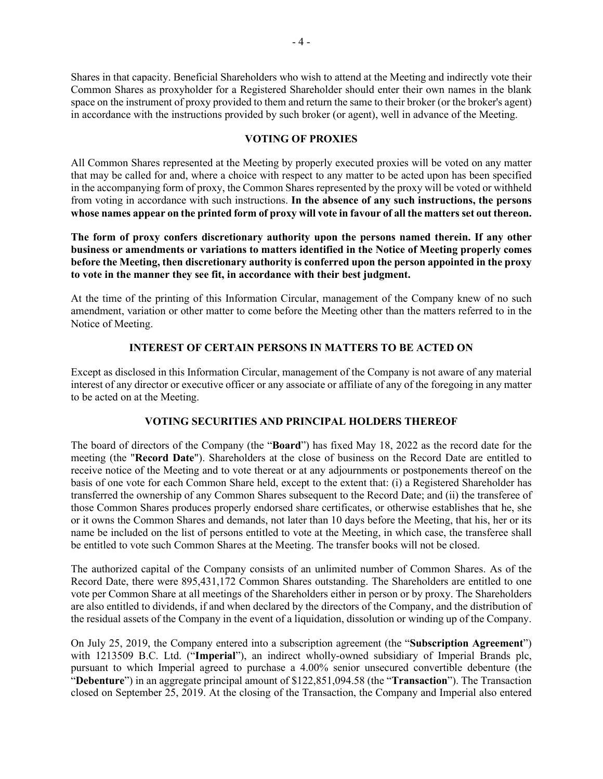Shares in that capacity. Beneficial Shareholders who wish to attend at the Meeting and indirectly vote their Common Shares as proxyholder for a Registered Shareholder should enter their own names in the blank space on the instrument of proxy provided to them and return the same to their broker (or the broker's agent) in accordance with the instructions provided by such broker (or agent), well in advance of the Meeting.

# **VOTING OF PROXIES**

All Common Shares represented at the Meeting by properly executed proxies will be voted on any matter that may be called for and, where a choice with respect to any matter to be acted upon has been specified in the accompanying form of proxy, the Common Shares represented by the proxy will be voted or withheld from voting in accordance with such instructions. **In the absence of any such instructions, the persons whose names appear on the printed form of proxy will vote in favour of all the matters set out thereon.**

**The form of proxy confers discretionary authority upon the persons named therein. If any other business or amendments or variations to matters identified in the Notice of Meeting properly comes before the Meeting, then discretionary authority is conferred upon the person appointed in the proxy to vote in the manner they see fit, in accordance with their best judgment.**

At the time of the printing of this Information Circular, management of the Company knew of no such amendment, variation or other matter to come before the Meeting other than the matters referred to in the Notice of Meeting.

# **INTEREST OF CERTAIN PERSONS IN MATTERS TO BE ACTED ON**

Except as disclosed in this Information Circular, management of the Company is not aware of any material interest of any director or executive officer or any associate or affiliate of any of the foregoing in any matter to be acted on at the Meeting.

# **VOTING SECURITIES AND PRINCIPAL HOLDERS THEREOF**

The board of directors of the Company (the "**Board**") has fixed May 18, 2022 as the record date for the meeting (the "**Record Date**"). Shareholders at the close of business on the Record Date are entitled to receive notice of the Meeting and to vote thereat or at any adjournments or postponements thereof on the basis of one vote for each Common Share held, except to the extent that: (i) a Registered Shareholder has transferred the ownership of any Common Shares subsequent to the Record Date; and (ii) the transferee of those Common Shares produces properly endorsed share certificates, or otherwise establishes that he, she or it owns the Common Shares and demands, not later than 10 days before the Meeting, that his, her or its name be included on the list of persons entitled to vote at the Meeting, in which case, the transferee shall be entitled to vote such Common Shares at the Meeting. The transfer books will not be closed.

The authorized capital of the Company consists of an unlimited number of Common Shares. As of the Record Date, there were 895,431,172 Common Shares outstanding. The Shareholders are entitled to one vote per Common Share at all meetings of the Shareholders either in person or by proxy. The Shareholders are also entitled to dividends, if and when declared by the directors of the Company, and the distribution of the residual assets of the Company in the event of a liquidation, dissolution or winding up of the Company.

On July 25, 2019, the Company entered into a subscription agreement (the "**Subscription Agreement**") with 1213509 B.C. Ltd. ("**Imperial**"), an indirect wholly-owned subsidiary of Imperial Brands plc, pursuant to which Imperial agreed to purchase a 4.00% senior unsecured convertible debenture (the "**Debenture**") in an aggregate principal amount of \$122,851,094.58 (the "**Transaction**"). The Transaction closed on September 25, 2019. At the closing of the Transaction, the Company and Imperial also entered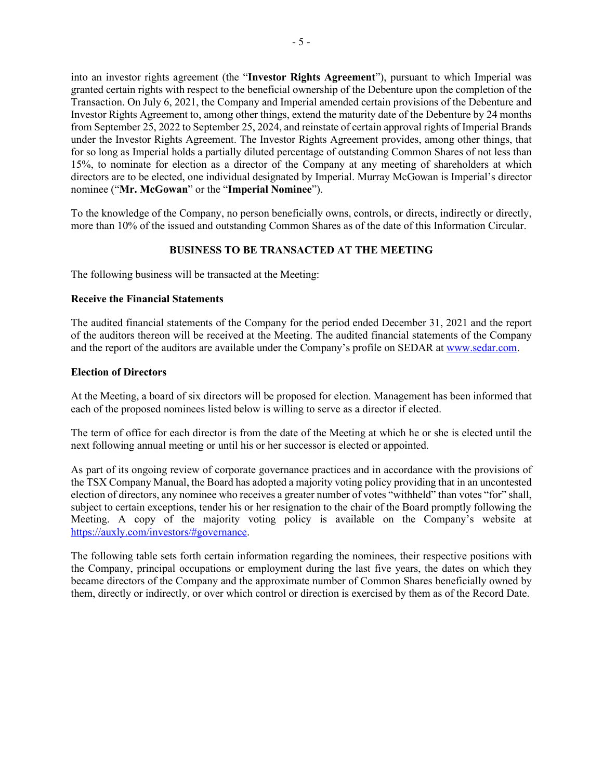into an investor rights agreement (the "**Investor Rights Agreement**"), pursuant to which Imperial was granted certain rights with respect to the beneficial ownership of the Debenture upon the completion of the Transaction. On July 6, 2021, the Company and Imperial amended certain provisions of the Debenture and Investor Rights Agreement to, among other things, extend the maturity date of the Debenture by 24 months from September 25, 2022 to September 25, 2024, and reinstate of certain approval rights of Imperial Brands under the Investor Rights Agreement. The Investor Rights Agreement provides, among other things, that for so long as Imperial holds a partially diluted percentage of outstanding Common Shares of not less than 15%, to nominate for election as a director of the Company at any meeting of shareholders at which directors are to be elected, one individual designated by Imperial. Murray McGowan is Imperial's director nominee ("**Mr. McGowan**" or the "**Imperial Nominee**").

To the knowledge of the Company, no person beneficially owns, controls, or directs, indirectly or directly, more than 10% of the issued and outstanding Common Shares as of the date of this Information Circular.

#### **BUSINESS TO BE TRANSACTED AT THE MEETING**

The following business will be transacted at the Meeting:

#### **Receive the Financial Statements**

The audited financial statements of the Company for the period ended December 31, 2021 and the report of the auditors thereon will be received at the Meeting. The audited financial statements of the Company and the report of the auditors are available under the Company's profile on SEDAR at [www.sedar.com.](http://www.sedar.com/)

#### **Election of Directors**

At the Meeting, a board of six directors will be proposed for election. Management has been informed that each of the proposed nominees listed below is willing to serve as a director if elected.

The term of office for each director is from the date of the Meeting at which he or she is elected until the next following annual meeting or until his or her successor is elected or appointed.

As part of its ongoing review of corporate governance practices and in accordance with the provisions of the TSX Company Manual, the Board has adopted a majority voting policy providing that in an uncontested election of directors, any nominee who receives a greater number of votes "withheld" than votes "for" shall, subject to certain exceptions, tender his or her resignation to the chair of the Board promptly following the Meeting. A copy of the majority voting policy is available on the Company's website at [https://auxly.com/investors/#governance.](https://auxly.com/investors/#governance)

The following table sets forth certain information regarding the nominees, their respective positions with the Company, principal occupations or employment during the last five years, the dates on which they became directors of the Company and the approximate number of Common Shares beneficially owned by them, directly or indirectly, or over which control or direction is exercised by them as of the Record Date.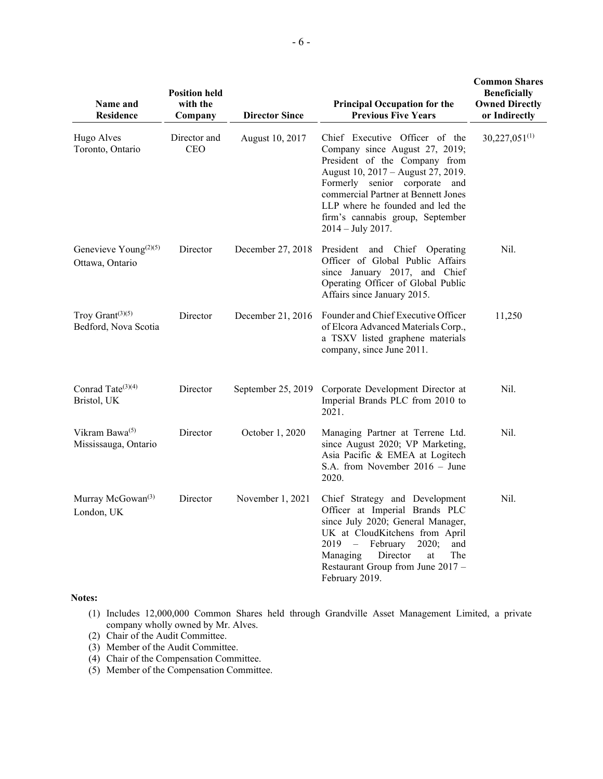| Name and<br><b>Residence</b>                                      | <b>Position held</b><br>with the<br>Company | <b>Director Since</b> | <b>Principal Occupation for the</b><br><b>Previous Five Years</b>                                                                                                                                                                                                                                              | <b>Common Shares</b><br><b>Beneficially</b><br><b>Owned Directly</b><br>or Indirectly |
|-------------------------------------------------------------------|---------------------------------------------|-----------------------|----------------------------------------------------------------------------------------------------------------------------------------------------------------------------------------------------------------------------------------------------------------------------------------------------------------|---------------------------------------------------------------------------------------|
| Hugo Alves<br>Toronto, Ontario                                    | Director and<br><b>CEO</b>                  | August 10, 2017       | Chief Executive Officer of the<br>Company since August 27, 2019;<br>President of the Company from<br>August 10, 2017 - August 27, 2019.<br>Formerly senior corporate and<br>commercial Partner at Bennett Jones<br>LLP where he founded and led the<br>firm's cannabis group, September<br>$2014 - July 2017.$ | $30,227,051^{(1)}$                                                                    |
| Genevieve Young <sup><math>(2)(5)</math></sup><br>Ottawa, Ontario | Director                                    | December 27, 2018     | President and Chief Operating<br>Officer of Global Public Affairs<br>since January 2017, and Chief<br>Operating Officer of Global Public<br>Affairs since January 2015.                                                                                                                                        | Nil.                                                                                  |
| Troy Grant $(3)(5)$<br>Bedford, Nova Scotia                       | Director                                    | December 21, 2016     | Founder and Chief Executive Officer<br>of Elcora Advanced Materials Corp.,<br>a TSXV listed graphene materials<br>company, since June 2011.                                                                                                                                                                    | 11,250                                                                                |
| Conrad Tate <sup>(3)(4)</sup><br>Bristol, UK                      | Director                                    | September 25, 2019    | Corporate Development Director at<br>Imperial Brands PLC from 2010 to<br>2021.                                                                                                                                                                                                                                 | Nil.                                                                                  |
| Vikram Bawa <sup>(5)</sup><br>Mississauga, Ontario                | Director                                    | October 1, 2020       | Managing Partner at Terrene Ltd.<br>since August 2020; VP Marketing,<br>Asia Pacific & EMEA at Logitech<br>S.A. from November $2016 -$ June<br>2020.                                                                                                                                                           | Nil.                                                                                  |
| Murray McGowan <sup>(3)</sup><br>London, UK                       | Director                                    | November 1, 2021      | Chief Strategy and Development<br>Officer at Imperial Brands PLC<br>since July 2020; General Manager,<br>UK at CloudKitchens from April<br>$2019 -$<br>February<br>2020;<br>and<br>Director<br>The<br>Managing<br>at<br>Restaurant Group from June 2017 -<br>February 2019.                                    | Nil.                                                                                  |

#### **Notes:**

- (1) Includes 12,000,000 Common Shares held through Grandville Asset Management Limited, a private company wholly owned by Mr. Alves.
- (2) Chair of the Audit Committee.
- (3) Member of the Audit Committee.
- (4) Chair of the Compensation Committee.
- (5) Member of the Compensation Committee.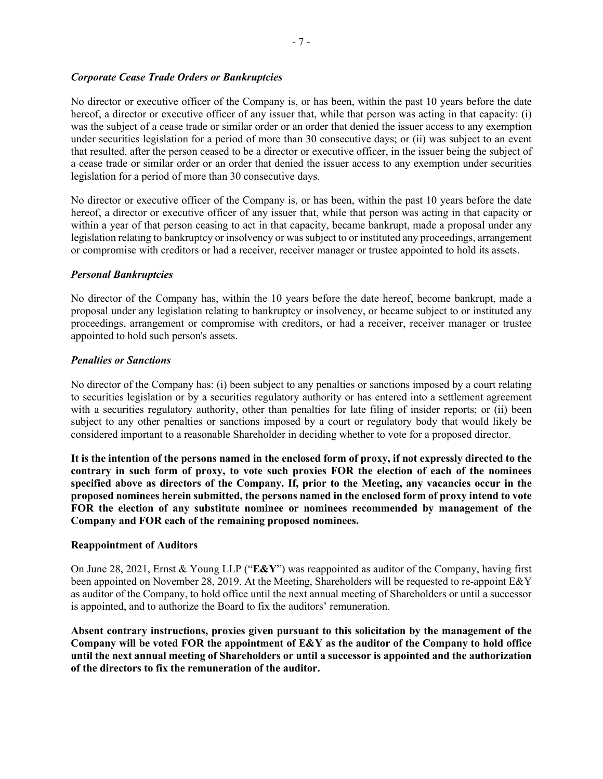# *Corporate Cease Trade Orders or Bankruptcies*

No director or executive officer of the Company is, or has been, within the past 10 years before the date hereof, a director or executive officer of any issuer that, while that person was acting in that capacity: (i) was the subject of a cease trade or similar order or an order that denied the issuer access to any exemption under securities legislation for a period of more than 30 consecutive days; or (ii) was subject to an event that resulted, after the person ceased to be a director or executive officer, in the issuer being the subject of a cease trade or similar order or an order that denied the issuer access to any exemption under securities legislation for a period of more than 30 consecutive days.

No director or executive officer of the Company is, or has been, within the past 10 years before the date hereof, a director or executive officer of any issuer that, while that person was acting in that capacity or within a year of that person ceasing to act in that capacity, became bankrupt, made a proposal under any legislation relating to bankruptcy or insolvency or was subject to or instituted any proceedings, arrangement or compromise with creditors or had a receiver, receiver manager or trustee appointed to hold its assets.

#### *Personal Bankruptcies*

No director of the Company has, within the 10 years before the date hereof, become bankrupt, made a proposal under any legislation relating to bankruptcy or insolvency, or became subject to or instituted any proceedings, arrangement or compromise with creditors, or had a receiver, receiver manager or trustee appointed to hold such person's assets.

#### *Penalties or Sanctions*

No director of the Company has: (i) been subject to any penalties or sanctions imposed by a court relating to securities legislation or by a securities regulatory authority or has entered into a settlement agreement with a securities regulatory authority, other than penalties for late filing of insider reports; or (ii) been subject to any other penalties or sanctions imposed by a court or regulatory body that would likely be considered important to a reasonable Shareholder in deciding whether to vote for a proposed director.

**It is the intention of the persons named in the enclosed form of proxy, if not expressly directed to the contrary in such form of proxy, to vote such proxies FOR the election of each of the nominees specified above as directors of the Company. If, prior to the Meeting, any vacancies occur in the proposed nominees herein submitted, the persons named in the enclosed form of proxy intend to vote FOR the election of any substitute nominee or nominees recommended by management of the Company and FOR each of the remaining proposed nominees.**

#### **Reappointment of Auditors**

On June 28, 2021, Ernst & Young LLP ("**E&Y**") was reappointed as auditor of the Company, having first been appointed on November 28, 2019. At the Meeting, Shareholders will be requested to re-appoint E&Y as auditor of the Company, to hold office until the next annual meeting of Shareholders or until a successor is appointed, and to authorize the Board to fix the auditors' remuneration.

**Absent contrary instructions, proxies given pursuant to this solicitation by the management of the Company will be voted FOR the appointment of E&Y as the auditor of the Company to hold office until the next annual meeting of Shareholders or until a successor is appointed and the authorization of the directors to fix the remuneration of the auditor.**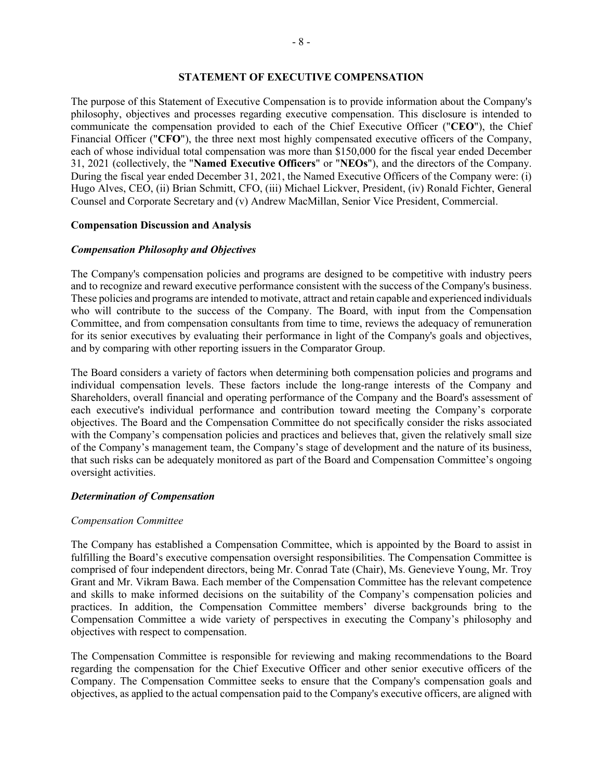#### **STATEMENT OF EXECUTIVE COMPENSATION**

The purpose of this Statement of Executive Compensation is to provide information about the Company's philosophy, objectives and processes regarding executive compensation. This disclosure is intended to communicate the compensation provided to each of the Chief Executive Officer ("**CEO**"), the Chief Financial Officer ("**CFO**"), the three next most highly compensated executive officers of the Company, each of whose individual total compensation was more than \$150,000 for the fiscal year ended December 31, 2021 (collectively, the "**Named Executive Officers**" or "**NEOs**"), and the directors of the Company. During the fiscal year ended December 31, 2021, the Named Executive Officers of the Company were: (i) Hugo Alves, CEO, (ii) Brian Schmitt, CFO, (iii) Michael Lickver, President, (iv) Ronald Fichter, General Counsel and Corporate Secretary and (v) Andrew MacMillan, Senior Vice President, Commercial.

#### **Compensation Discussion and Analysis**

#### *Compensation Philosophy and Objectives*

The Company's compensation policies and programs are designed to be competitive with industry peers and to recognize and reward executive performance consistent with the success of the Company's business. These policies and programs are intended to motivate, attract and retain capable and experienced individuals who will contribute to the success of the Company. The Board, with input from the Compensation Committee, and from compensation consultants from time to time, reviews the adequacy of remuneration for its senior executives by evaluating their performance in light of the Company's goals and objectives, and by comparing with other reporting issuers in the Comparator Group.

The Board considers a variety of factors when determining both compensation policies and programs and individual compensation levels. These factors include the long-range interests of the Company and Shareholders, overall financial and operating performance of the Company and the Board's assessment of each executive's individual performance and contribution toward meeting the Company's corporate objectives. The Board and the Compensation Committee do not specifically consider the risks associated with the Company's compensation policies and practices and believes that, given the relatively small size of the Company's management team, the Company's stage of development and the nature of its business, that such risks can be adequately monitored as part of the Board and Compensation Committee's ongoing oversight activities.

#### *Determination of Compensation*

#### *Compensation Committee*

The Company has established a Compensation Committee, which is appointed by the Board to assist in fulfilling the Board's executive compensation oversight responsibilities. The Compensation Committee is comprised of four independent directors, being Mr. Conrad Tate (Chair), Ms. Genevieve Young, Mr. Troy Grant and Mr. Vikram Bawa. Each member of the Compensation Committee has the relevant competence and skills to make informed decisions on the suitability of the Company's compensation policies and practices. In addition, the Compensation Committee members' diverse backgrounds bring to the Compensation Committee a wide variety of perspectives in executing the Company's philosophy and objectives with respect to compensation.

The Compensation Committee is responsible for reviewing and making recommendations to the Board regarding the compensation for the Chief Executive Officer and other senior executive officers of the Company. The Compensation Committee seeks to ensure that the Company's compensation goals and objectives, as applied to the actual compensation paid to the Company's executive officers, are aligned with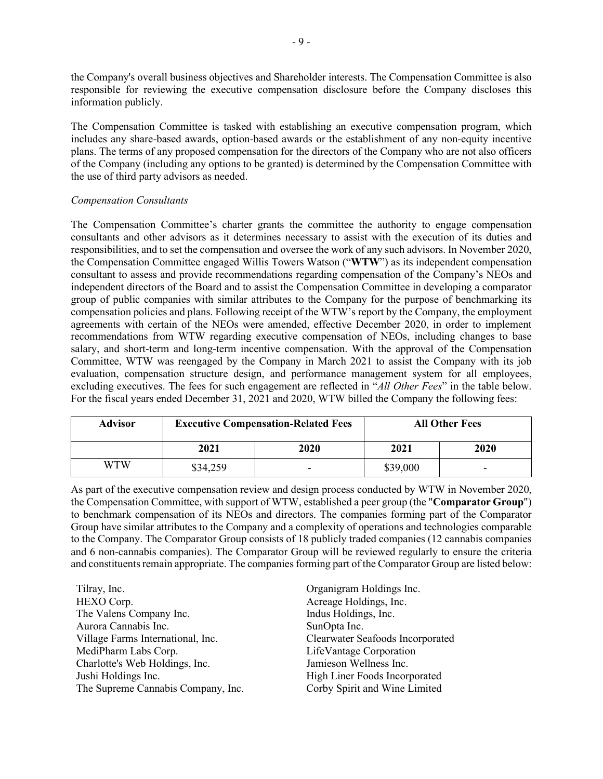the Company's overall business objectives and Shareholder interests. The Compensation Committee is also responsible for reviewing the executive compensation disclosure before the Company discloses this information publicly.

The Compensation Committee is tasked with establishing an executive compensation program, which includes any share-based awards, option-based awards or the establishment of any non-equity incentive plans. The terms of any proposed compensation for the directors of the Company who are not also officers of the Company (including any options to be granted) is determined by the Compensation Committee with the use of third party advisors as needed.

#### *Compensation Consultants*

The Compensation Committee's charter grants the committee the authority to engage compensation consultants and other advisors as it determines necessary to assist with the execution of its duties and responsibilities, and to set the compensation and oversee the work of any such advisors. In November 2020, the Compensation Committee engaged Willis Towers Watson ("**WTW**") as its independent compensation consultant to assess and provide recommendations regarding compensation of the Company's NEOs and independent directors of the Board and to assist the Compensation Committee in developing a comparator group of public companies with similar attributes to the Company for the purpose of benchmarking its compensation policies and plans. Following receipt of the WTW's report by the Company, the employment agreements with certain of the NEOs were amended, effective December 2020, in order to implement recommendations from WTW regarding executive compensation of NEOs, including changes to base salary, and short-term and long-term incentive compensation. With the approval of the Compensation Committee, WTW was reengaged by the Company in March 2021 to assist the Company with its job evaluation, compensation structure design, and performance management system for all employees, excluding executives. The fees for such engagement are reflected in "*All Other Fees*" in the table below. For the fiscal years ended December 31, 2021 and 2020, WTW billed the Company the following fees:

| <b>Advisor</b> |          | <b>Executive Compensation-Related Fees</b> |          | <b>All Other Fees</b> |
|----------------|----------|--------------------------------------------|----------|-----------------------|
|                | 2021     | 2020                                       | 2021     | 2020                  |
| WTW            | \$34,259 |                                            | \$39,000 | -                     |

As part of the executive compensation review and design process conducted by WTW in November 2020, the Compensation Committee, with support of WTW, established a peer group (the "**Comparator Group**") to benchmark compensation of its NEOs and directors. The companies forming part of the Comparator Group have similar attributes to the Company and a complexity of operations and technologies comparable to the Company. The Comparator Group consists of 18 publicly traded companies (12 cannabis companies and 6 non-cannabis companies). The Comparator Group will be reviewed regularly to ensure the criteria and constituents remain appropriate. The companies forming part of the Comparator Group are listed below:

| Tilray, Inc.                       | Organigram Holdings Inc.         |
|------------------------------------|----------------------------------|
| HEXO Corp.                         | Acreage Holdings, Inc.           |
| The Valens Company Inc.            | Indus Holdings, Inc.             |
| Aurora Cannabis Inc.               | SunOpta Inc.                     |
| Village Farms International, Inc.  | Clearwater Seafoods Incorporated |
| MediPharm Labs Corp.               | LifeVantage Corporation          |
| Charlotte's Web Holdings, Inc.     | Jamieson Wellness Inc.           |
| Jushi Holdings Inc.                | High Liner Foods Incorporated    |
| The Supreme Cannabis Company, Inc. | Corby Spirit and Wine Limited    |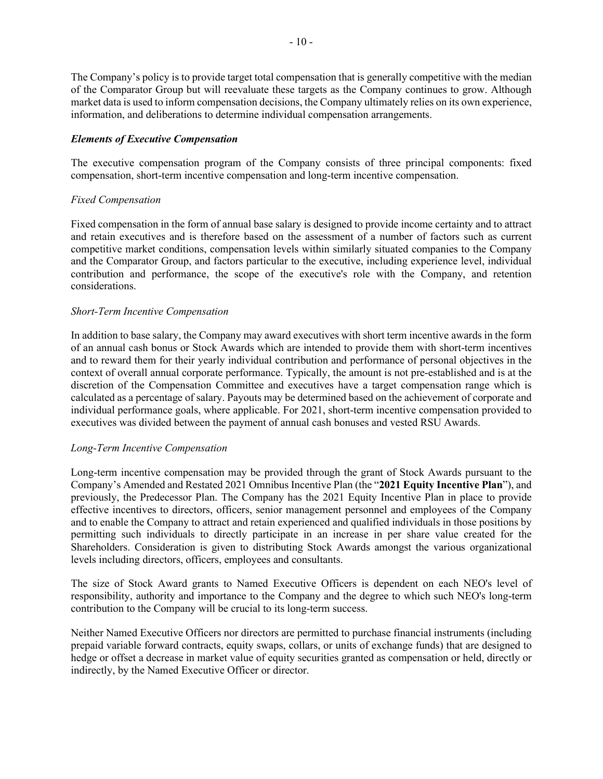The Company's policy is to provide target total compensation that is generally competitive with the median of the Comparator Group but will reevaluate these targets as the Company continues to grow. Although market data is used to inform compensation decisions, the Company ultimately relies on its own experience, information, and deliberations to determine individual compensation arrangements.

# *Elements of Executive Compensation*

The executive compensation program of the Company consists of three principal components: fixed compensation, short-term incentive compensation and long-term incentive compensation.

#### *Fixed Compensation*

Fixed compensation in the form of annual base salary is designed to provide income certainty and to attract and retain executives and is therefore based on the assessment of a number of factors such as current competitive market conditions, compensation levels within similarly situated companies to the Company and the Comparator Group, and factors particular to the executive, including experience level, individual contribution and performance, the scope of the executive's role with the Company, and retention considerations.

#### *Short-Term Incentive Compensation*

In addition to base salary, the Company may award executives with short term incentive awards in the form of an annual cash bonus or Stock Awards which are intended to provide them with short-term incentives and to reward them for their yearly individual contribution and performance of personal objectives in the context of overall annual corporate performance. Typically, the amount is not pre-established and is at the discretion of the Compensation Committee and executives have a target compensation range which is calculated as a percentage of salary. Payouts may be determined based on the achievement of corporate and individual performance goals, where applicable. For 2021, short-term incentive compensation provided to executives was divided between the payment of annual cash bonuses and vested RSU Awards.

#### *Long-Term Incentive Compensation*

Long-term incentive compensation may be provided through the grant of Stock Awards pursuant to the Company's Amended and Restated 2021 Omnibus Incentive Plan (the "**2021 Equity Incentive Plan**"), and previously, the Predecessor Plan. The Company has the 2021 Equity Incentive Plan in place to provide effective incentives to directors, officers, senior management personnel and employees of the Company and to enable the Company to attract and retain experienced and qualified individuals in those positions by permitting such individuals to directly participate in an increase in per share value created for the Shareholders. Consideration is given to distributing Stock Awards amongst the various organizational levels including directors, officers, employees and consultants.

The size of Stock Award grants to Named Executive Officers is dependent on each NEO's level of responsibility, authority and importance to the Company and the degree to which such NEO's long-term contribution to the Company will be crucial to its long-term success.

Neither Named Executive Officers nor directors are permitted to purchase financial instruments (including prepaid variable forward contracts, equity swaps, collars, or units of exchange funds) that are designed to hedge or offset a decrease in market value of equity securities granted as compensation or held, directly or indirectly, by the Named Executive Officer or director.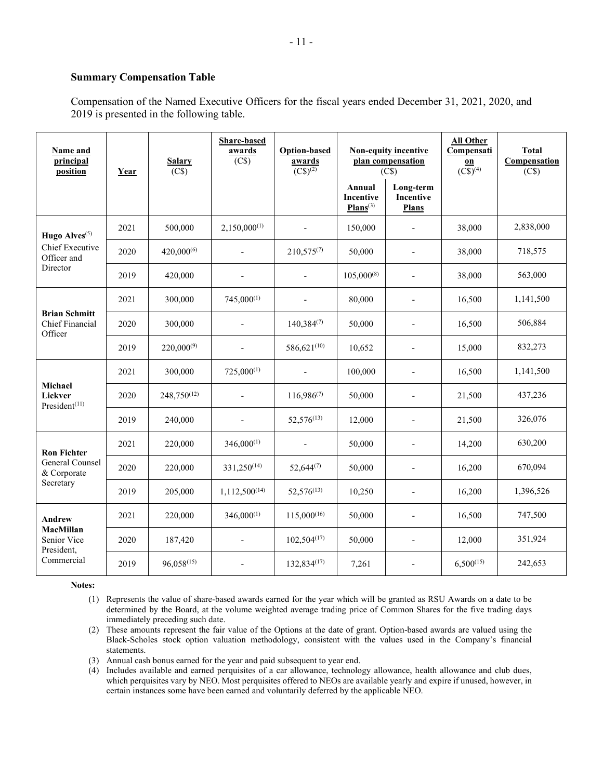#### **Summary Compensation Table**

Compensation of the Named Executive Officers for the fiscal years ended December 31, 2021, 2020, and 2019 is presented in the following table.

| Name and<br>principal<br>position                  | Year | <b>Salary</b><br>(C\$) | Share-based<br>awards<br>(C\$) | <b>Option-based</b><br>awards<br>$(C$)^{(2)}$ |                                                    | <b>Non-equity incentive</b><br>plan compensation<br>(C\$) | <b>All Other</b><br>Compensati<br>$\underline{\mathbf{on}}$<br>$(\overline{CS})^{(4)}$ | <b>Total</b><br>Compensation<br>(C\$) |
|----------------------------------------------------|------|------------------------|--------------------------------|-----------------------------------------------|----------------------------------------------------|-----------------------------------------------------------|----------------------------------------------------------------------------------------|---------------------------------------|
|                                                    |      |                        |                                |                                               | <b>Annual</b><br><b>Incentive</b><br>$Plans^{(3)}$ | Long-term<br>Incentive<br>Plans                           |                                                                                        |                                       |
| Hugo Alves <sup>(5)</sup>                          | 2021 | 500,000                | $2,150,000^{(1)}$              |                                               | 150,000                                            | $\overline{a}$                                            | 38,000                                                                                 | 2,838,000                             |
| Chief Executive<br>Officer and                     | 2020 | $420,000^{(6)}$        | $\overline{a}$                 | $210,575^{(7)}$                               | 50,000                                             | $\overline{\phantom{a}}$                                  | 38,000                                                                                 | 718,575                               |
| Director                                           | 2019 | 420,000                | ÷,                             | $\blacksquare$                                | $105,000^{(8)}$                                    | $\overline{\phantom{a}}$                                  | 38,000                                                                                 | 563,000                               |
|                                                    | 2021 | 300,000                | $745,000^{(1)}$                |                                               | 80,000                                             | $\overline{\phantom{a}}$                                  | 16,500                                                                                 | 1,141,500                             |
| <b>Brian Schmitt</b><br>Chief Financial<br>Officer | 2020 | 300,000                | $\overline{\phantom{a}}$       | $140,384^{(7)}$                               | 50,000                                             | $\overline{\phantom{a}}$                                  | 16,500                                                                                 | 506,884                               |
|                                                    | 2019 | $220,000^{(9)}$        | $\overline{a}$                 | 586,621(10)                                   | 10,652                                             | $\overline{\phantom{a}}$                                  | 15,000                                                                                 | 832,273                               |
|                                                    | 2021 | 300,000                | $725,000^{(1)}$                |                                               | 100,000                                            | $\overline{\phantom{a}}$                                  | 16,500                                                                                 | 1,141,500                             |
| Michael<br>Lickver<br>President $(11)$             | 2020 | $248.750^{(12)}$       | $\overline{a}$                 | $116.986^{(7)}$                               | 50,000                                             | $\overline{\phantom{a}}$                                  | 21,500                                                                                 | 437,236                               |
|                                                    | 2019 | 240,000                | $\overline{a}$                 | $52,576^{(13)}$                               | 12,000                                             | $\overline{\phantom{a}}$                                  | 21,500                                                                                 | 326,076                               |
| <b>Ron Fichter</b>                                 | 2021 | 220,000                | $346,000^{(1)}$                |                                               | 50,000                                             | $\overline{\phantom{a}}$                                  | 14,200                                                                                 | 630,200                               |
| General Counsel<br>& Corporate                     | 2020 | 220,000                | $331,250^{(14)}$               | $52,644^{(7)}$                                | 50,000                                             | $\overline{\phantom{a}}$                                  | 16,200                                                                                 | 670,094                               |
| Secretary                                          | 2019 | 205,000                | $1,112,500^{(14)}$             | $52,576^{(13)}$                               | 10,250                                             | $\overline{\phantom{a}}$                                  | 16,200                                                                                 | 1,396,526                             |
| <b>Andrew</b>                                      | 2021 | 220,000                | $346,000^{(1)}$                | $115,000^{(16)}$                              | 50,000                                             | $\overline{\phantom{a}}$                                  | 16,500                                                                                 | 747,500                               |
| <b>MacMillan</b><br>Senior Vice<br>President,      | 2020 | 187,420                | $\overline{\phantom{a}}$       | $102,504^{(17)}$                              | 50,000                                             | $\overline{\phantom{a}}$                                  | 12,000                                                                                 | 351,924                               |
| Commercial                                         | 2019 | $96,058^{(15)}$        | $\overline{a}$                 | 132,834 <sup>(17)</sup>                       | 7,261                                              | $\overline{\phantom{a}}$                                  | $6,500^{(15)}$                                                                         | 242,653                               |

**Notes:**

- (1) Represents the value of share-based awards earned for the year which will be granted as RSU Awards on a date to be determined by the Board, at the volume weighted average trading price of Common Shares for the five trading days immediately preceding such date.
- (2) These amounts represent the fair value of the Options at the date of grant. Option-based awards are valued using the Black-Scholes stock option valuation methodology, consistent with the values used in the Company's financial statements.
- (3) Annual cash bonus earned for the year and paid subsequent to year end.
- (4) Includes available and earned perquisites of a car allowance, technology allowance, health allowance and club dues, which perquisites vary by NEO. Most perquisites offered to NEOs are available yearly and expire if unused, however, in certain instances some have been earned and voluntarily deferred by the applicable NEO.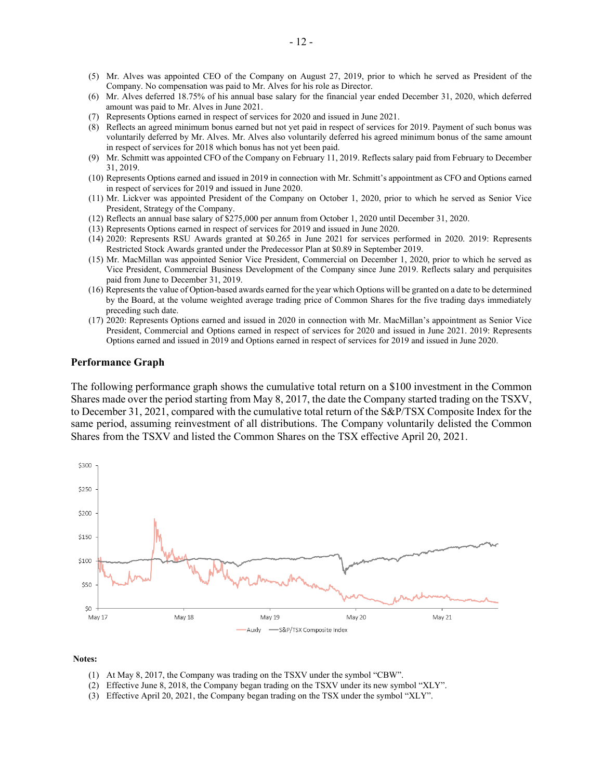- (5) Mr. Alves was appointed CEO of the Company on August 27, 2019, prior to which he served as President of the Company. No compensation was paid to Mr. Alves for his role as Director.
- (6) Mr. Alves deferred 18.75% of his annual base salary for the financial year ended December 31, 2020, which deferred amount was paid to Mr. Alves in June 2021.
- (7) Represents Options earned in respect of services for 2020 and issued in June 2021.
- (8) Reflects an agreed minimum bonus earned but not yet paid in respect of services for 2019. Payment of such bonus was voluntarily deferred by Mr. Alves. Mr. Alves also voluntarily deferred his agreed minimum bonus of the same amount in respect of services for 2018 which bonus has not yet been paid.
- (9) Mr. Schmitt was appointed CFO of the Company on February 11, 2019. Reflects salary paid from February to December 31, 2019.
- (10) Represents Options earned and issued in 2019 in connection with Mr. Schmitt's appointment as CFO and Options earned in respect of services for 2019 and issued in June 2020.
- (11) Mr. Lickver was appointed President of the Company on October 1, 2020, prior to which he served as Senior Vice President, Strategy of the Company.
- (12) Reflects an annual base salary of \$275,000 per annum from October 1, 2020 until December 31, 2020.
- (13) Represents Options earned in respect of services for 2019 and issued in June 2020.
- (14) 2020: Represents RSU Awards granted at \$0.265 in June 2021 for services performed in 2020. 2019: Represents Restricted Stock Awards granted under the Predecessor Plan at \$0.89 in September 2019.
- (15) Mr. MacMillan was appointed Senior Vice President, Commercial on December 1, 2020, prior to which he served as Vice President, Commercial Business Development of the Company since June 2019. Reflects salary and perquisites paid from June to December 31, 2019.
- (16) Represents the value of Option-based awards earned for the year which Options will be granted on a date to be determined by the Board, at the volume weighted average trading price of Common Shares for the five trading days immediately preceding such date.
- (17) 2020: Represents Options earned and issued in 2020 in connection with Mr. MacMillan's appointment as Senior Vice President, Commercial and Options earned in respect of services for 2020 and issued in June 2021. 2019: Represents Options earned and issued in 2019 and Options earned in respect of services for 2019 and issued in June 2020.

#### **Performance Graph**

The following performance graph shows the cumulative total return on a \$100 investment in the Common Shares made over the period starting from May 8, 2017, the date the Company started trading on the TSXV, to December 31, 2021, compared with the cumulative total return of the S&P/TSX Composite Index for the same period, assuming reinvestment of all distributions. The Company voluntarily delisted the Common Shares from the TSXV and listed the Common Shares on the TSX effective April 20, 2021.



#### **Notes:**

- (1) At May 8, 2017, the Company was trading on the TSXV under the symbol "CBW".
- (2) Effective June 8, 2018, the Company began trading on the TSXV under its new symbol "XLY".
- (3) Effective April 20, 2021, the Company began trading on the TSX under the symbol "XLY".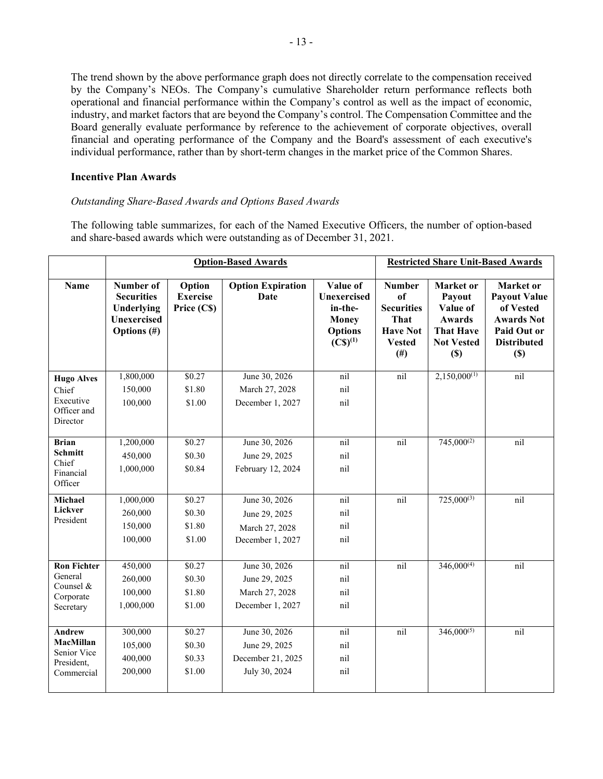The trend shown by the above performance graph does not directly correlate to the compensation received by the Company's NEOs. The Company's cumulative Shareholder return performance reflects both operational and financial performance within the Company's control as well as the impact of economic, industry, and market factors that are beyond the Company's control. The Compensation Committee and the Board generally evaluate performance by reference to the achievement of corporate objectives, overall financial and operating performance of the Company and the Board's assessment of each executive's individual performance, rather than by short-term changes in the market price of the Common Shares.

#### **Incentive Plan Awards**

#### *Outstanding Share-Based Awards and Options Based Awards*

The following table summarizes, for each of the Named Executive Officers, the number of option-based and share-based awards which were outstanding as of December 31, 2021.

|                                      | <b>Option-Based Awards</b>                                                           |                                          |                                         |                                                                                               |                                                                                                   |                                                                                                     | <b>Restricted Share Unit-Based Awards</b>                                                                      |
|--------------------------------------|--------------------------------------------------------------------------------------|------------------------------------------|-----------------------------------------|-----------------------------------------------------------------------------------------------|---------------------------------------------------------------------------------------------------|-----------------------------------------------------------------------------------------------------|----------------------------------------------------------------------------------------------------------------|
| <b>Name</b>                          | Number of<br><b>Securities</b><br>Underlying<br><b>Unexercised</b><br>Options $(\#)$ | Option<br><b>Exercise</b><br>Price (C\$) | <b>Option Expiration</b><br><b>Date</b> | Value of<br>Unexercised<br>in-the-<br><b>Money</b><br><b>Options</b><br>$(C\mathbb{S})^{(1)}$ | <b>Number</b><br>of<br><b>Securities</b><br>That<br><b>Have Not</b><br><b>Vested</b><br>$($ # $)$ | Market or<br>Payout<br>Value of<br><b>Awards</b><br><b>That Have</b><br><b>Not Vested</b><br>$(\$)$ | Market or<br><b>Payout Value</b><br>of Vested<br><b>Awards Not</b><br>Paid Out or<br><b>Distributed</b><br>(S) |
| <b>Hugo Alves</b>                    | 1,800,000                                                                            | \$0.27                                   | June 30, 2026                           | nil                                                                                           | nil                                                                                               | $2,150,000^{(1)}$                                                                                   | nil                                                                                                            |
| Chief                                | 150,000                                                                              | \$1.80                                   | March 27, 2028                          | nil                                                                                           |                                                                                                   |                                                                                                     |                                                                                                                |
| Executive<br>Officer and<br>Director | 100,000                                                                              | \$1.00                                   | December 1, 2027                        | nil                                                                                           |                                                                                                   |                                                                                                     |                                                                                                                |
| <b>Brian</b>                         | 1,200,000                                                                            | \$0.27                                   | June 30, 2026                           | nil                                                                                           | nil                                                                                               | $745,000^{(2)}$                                                                                     | nil                                                                                                            |
| <b>Schmitt</b>                       | 450,000                                                                              | \$0.30                                   | June 29, 2025                           | nil                                                                                           |                                                                                                   |                                                                                                     |                                                                                                                |
| Chief<br>Financial<br>Officer        | 1,000,000                                                                            | \$0.84                                   | February 12, 2024                       | nil                                                                                           |                                                                                                   |                                                                                                     |                                                                                                                |
| Michael                              | 1,000,000                                                                            | \$0.27                                   | June 30, 2026                           | nil                                                                                           | nil                                                                                               | $725,000^{(3)}$                                                                                     | nil                                                                                                            |
| Lickver                              | 260,000                                                                              | \$0.30                                   | June 29, 2025                           | nil                                                                                           |                                                                                                   |                                                                                                     |                                                                                                                |
| President                            | 150,000                                                                              | \$1.80                                   | March 27, 2028                          | nil                                                                                           |                                                                                                   |                                                                                                     |                                                                                                                |
|                                      | 100,000                                                                              | \$1.00                                   | December 1, 2027                        | nil                                                                                           |                                                                                                   |                                                                                                     |                                                                                                                |
| <b>Ron Fichter</b>                   | 450,000                                                                              | \$0.27                                   | June 30, 2026                           | nil                                                                                           | nil                                                                                               | $346,000^{(4)}$                                                                                     | nil                                                                                                            |
| General                              | 260,000                                                                              | \$0.30                                   | June 29, 2025                           | nil                                                                                           |                                                                                                   |                                                                                                     |                                                                                                                |
| Counsel &                            | 100,000                                                                              | \$1.80                                   | March 27, 2028                          | nil                                                                                           |                                                                                                   |                                                                                                     |                                                                                                                |
| Corporate<br>Secretary               | 1,000,000                                                                            | \$1.00                                   | December 1, 2027                        | nil                                                                                           |                                                                                                   |                                                                                                     |                                                                                                                |
|                                      |                                                                                      |                                          |                                         |                                                                                               |                                                                                                   |                                                                                                     |                                                                                                                |
| <b>Andrew</b>                        | 300,000                                                                              | \$0.27                                   | June 30, 2026                           | nil                                                                                           | nil                                                                                               | $346,000^{(5)}$                                                                                     | nil                                                                                                            |
| MacMillan                            | 105,000                                                                              | \$0.30                                   | June 29, 2025                           | nil                                                                                           |                                                                                                   |                                                                                                     |                                                                                                                |
| Senior Vice<br>President,            | 400,000                                                                              | \$0.33                                   | December 21, 2025                       | nil                                                                                           |                                                                                                   |                                                                                                     |                                                                                                                |
| Commercial                           | 200,000                                                                              | \$1.00                                   | July 30, 2024                           | nil                                                                                           |                                                                                                   |                                                                                                     |                                                                                                                |
|                                      |                                                                                      |                                          |                                         |                                                                                               |                                                                                                   |                                                                                                     |                                                                                                                |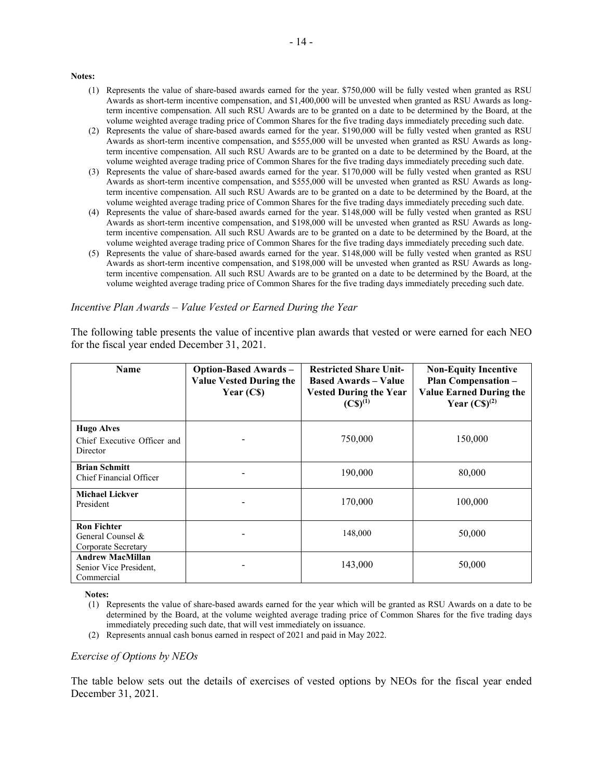#### **Notes:**

- (1) Represents the value of share-based awards earned for the year. \$750,000 will be fully vested when granted as RSU Awards as short-term incentive compensation, and \$1,400,000 will be unvested when granted as RSU Awards as longterm incentive compensation. All such RSU Awards are to be granted on a date to be determined by the Board, at the volume weighted average trading price of Common Shares for the five trading days immediately preceding such date.
- (2) Represents the value of share-based awards earned for the year. \$190,000 will be fully vested when granted as RSU Awards as short-term incentive compensation, and \$555,000 will be unvested when granted as RSU Awards as longterm incentive compensation. All such RSU Awards are to be granted on a date to be determined by the Board, at the volume weighted average trading price of Common Shares for the five trading days immediately preceding such date.
- (3) Represents the value of share-based awards earned for the year. \$170,000 will be fully vested when granted as RSU Awards as short-term incentive compensation, and \$555,000 will be unvested when granted as RSU Awards as longterm incentive compensation. All such RSU Awards are to be granted on a date to be determined by the Board, at the volume weighted average trading price of Common Shares for the five trading days immediately preceding such date.
- (4) Represents the value of share-based awards earned for the year. \$148,000 will be fully vested when granted as RSU Awards as short-term incentive compensation, and \$198,000 will be unvested when granted as RSU Awards as longterm incentive compensation. All such RSU Awards are to be granted on a date to be determined by the Board, at the volume weighted average trading price of Common Shares for the five trading days immediately preceding such date.
- (5) Represents the value of share-based awards earned for the year. \$148,000 will be fully vested when granted as RSU Awards as short-term incentive compensation, and \$198,000 will be unvested when granted as RSU Awards as longterm incentive compensation. All such RSU Awards are to be granted on a date to be determined by the Board, at the volume weighted average trading price of Common Shares for the five trading days immediately preceding such date.

#### *Incentive Plan Awards – Value Vested or Earned During the Year*

The following table presents the value of incentive plan awards that vested or were earned for each NEO for the fiscal year ended December 31, 2021.

| <b>Name</b>                                                     | <b>Option-Based Awards -</b><br><b>Value Vested During the</b><br>Year $(Cs)$ | <b>Restricted Share Unit-</b><br><b>Based Awards – Value</b><br><b>Vested During the Year</b><br>$(C\$ {S})^{(1)} | <b>Non-Equity Incentive</b><br>Plan Compensation-<br><b>Value Earned During the</b><br>Year $(C\mathbb{S})^{(2)}$ |
|-----------------------------------------------------------------|-------------------------------------------------------------------------------|-------------------------------------------------------------------------------------------------------------------|-------------------------------------------------------------------------------------------------------------------|
| <b>Hugo Alves</b><br>Chief Executive Officer and<br>Director    |                                                                               | 750,000                                                                                                           | 150,000                                                                                                           |
| <b>Brian Schmitt</b><br>Chief Financial Officer                 |                                                                               | 190,000                                                                                                           | 80,000                                                                                                            |
| <b>Michael Lickver</b><br>President                             |                                                                               | 170,000                                                                                                           | 100,000                                                                                                           |
| <b>Ron Fichter</b><br>General Counsel &<br>Corporate Secretary  |                                                                               | 148,000                                                                                                           | 50,000                                                                                                            |
| <b>Andrew MacMillan</b><br>Senior Vice President,<br>Commercial |                                                                               | 143,000                                                                                                           | 50,000                                                                                                            |

**Notes:**

- (1) Represents the value of share-based awards earned for the year which will be granted as RSU Awards on a date to be determined by the Board, at the volume weighted average trading price of Common Shares for the five trading days immediately preceding such date, that will vest immediately on issuance.
- (2) Represents annual cash bonus earned in respect of 2021 and paid in May 2022.

#### *Exercise of Options by NEOs*

The table below sets out the details of exercises of vested options by NEOs for the fiscal year ended December 31, 2021.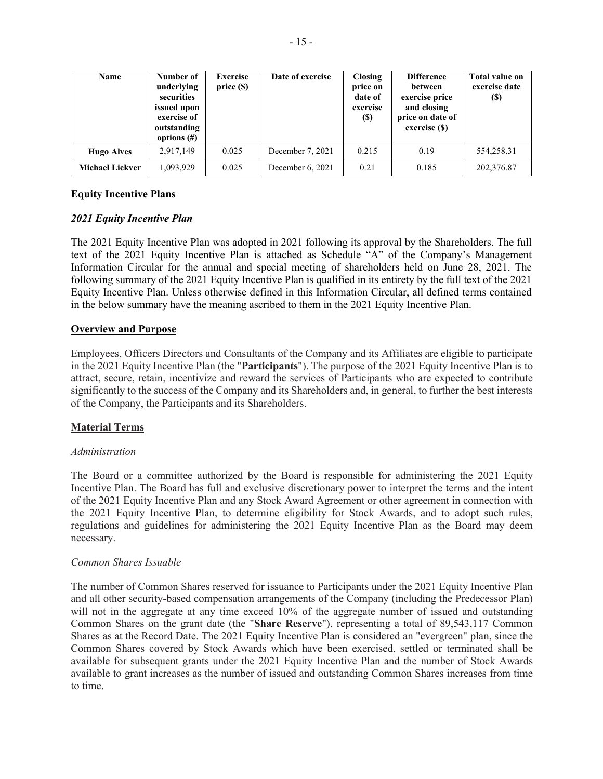| Name                   | Number of<br>underlying<br>securities<br>issued upon<br>exercise of<br>outstanding<br>options $(\#)$ | <b>Exercise</b><br>price(S) | Date of exercise | <b>Closing</b><br>price on<br>date of<br>exercise<br>$\left( \mathbb{S}\right)$ | <b>Difference</b><br>between<br>exercise price<br>and closing<br>price on date of<br>exercise (\$) | <b>Total value on</b><br>exercise date<br>(S) |
|------------------------|------------------------------------------------------------------------------------------------------|-----------------------------|------------------|---------------------------------------------------------------------------------|----------------------------------------------------------------------------------------------------|-----------------------------------------------|
| <b>Hugo Alves</b>      | 2,917,149                                                                                            | 0.025                       | December 7, 2021 | 0.215                                                                           | 0.19                                                                                               | 554,258.31                                    |
| <b>Michael Lickver</b> | 1,093,929                                                                                            | 0.025                       | December 6, 2021 | 0.21                                                                            | 0.185                                                                                              | 202,376.87                                    |

# **Equity Incentive Plans**

# *2021 Equity Incentive Plan*

The 2021 Equity Incentive Plan was adopted in 2021 following its approval by the Shareholders. The full text of the 2021 Equity Incentive Plan is attached as Schedule "A" of the Company's Management Information Circular for the annual and special meeting of shareholders held on June 28, 2021. The following summary of the 2021 Equity Incentive Plan is qualified in its entirety by the full text of the 2021 Equity Incentive Plan. Unless otherwise defined in this Information Circular, all defined terms contained in the below summary have the meaning ascribed to them in the 2021 Equity Incentive Plan.

# **Overview and Purpose**

Employees, Officers Directors and Consultants of the Company and its Affiliates are eligible to participate in the 2021 Equity Incentive Plan (the "**Participants**"). The purpose of the 2021 Equity Incentive Plan is to attract, secure, retain, incentivize and reward the services of Participants who are expected to contribute significantly to the success of the Company and its Shareholders and, in general, to further the best interests of the Company, the Participants and its Shareholders.

# **Material Terms**

# *Administration*

The Board or a committee authorized by the Board is responsible for administering the 2021 Equity Incentive Plan. The Board has full and exclusive discretionary power to interpret the terms and the intent of the 2021 Equity Incentive Plan and any Stock Award Agreement or other agreement in connection with the 2021 Equity Incentive Plan, to determine eligibility for Stock Awards, and to adopt such rules, regulations and guidelines for administering the 2021 Equity Incentive Plan as the Board may deem necessary.

# *Common Shares Issuable*

The number of Common Shares reserved for issuance to Participants under the 2021 Equity Incentive Plan and all other security-based compensation arrangements of the Company (including the Predecessor Plan) will not in the aggregate at any time exceed 10% of the aggregate number of issued and outstanding Common Shares on the grant date (the "**Share Reserve**"), representing a total of 89,543,117 Common Shares as at the Record Date. The 2021 Equity Incentive Plan is considered an "evergreen" plan, since the Common Shares covered by Stock Awards which have been exercised, settled or terminated shall be available for subsequent grants under the 2021 Equity Incentive Plan and the number of Stock Awards available to grant increases as the number of issued and outstanding Common Shares increases from time to time.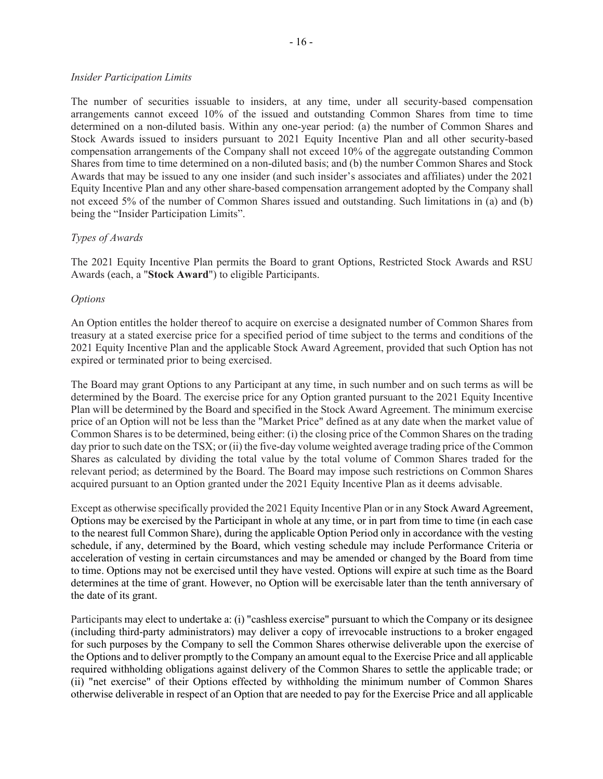#### *Insider Participation Limits*

The number of securities issuable to insiders, at any time, under all security-based compensation arrangements cannot exceed 10% of the issued and outstanding Common Shares from time to time determined on a non-diluted basis. Within any one-year period: (a) the number of Common Shares and Stock Awards issued to insiders pursuant to 2021 Equity Incentive Plan and all other security-based compensation arrangements of the Company shall not exceed 10% of the aggregate outstanding Common Shares from time to time determined on a non-diluted basis; and (b) the number Common Shares and Stock Awards that may be issued to any one insider (and such insider's associates and affiliates) under the 2021 Equity Incentive Plan and any other share-based compensation arrangement adopted by the Company shall not exceed 5% of the number of Common Shares issued and outstanding. Such limitations in (a) and (b) being the "Insider Participation Limits".

#### *Types of Awards*

The 2021 Equity Incentive Plan permits the Board to grant Options, Restricted Stock Awards and RSU Awards (each, a "**Stock Award**") to eligible Participants.

#### *Options*

An Option entitles the holder thereof to acquire on exercise a designated number of Common Shares from treasury at a stated exercise price for a specified period of time subject to the terms and conditions of the 2021 Equity Incentive Plan and the applicable Stock Award Agreement, provided that such Option has not expired or terminated prior to being exercised.

The Board may grant Options to any Participant at any time, in such number and on such terms as will be determined by the Board. The exercise price for any Option granted pursuant to the 2021 Equity Incentive Plan will be determined by the Board and specified in the Stock Award Agreement. The minimum exercise price of an Option will not be less than the "Market Price" defined as at any date when the market value of Common Shares is to be determined, being either: (i) the closing price of the Common Shares on the trading day prior to such date on the TSX; or (ii) the five-day volume weighted average trading price of the Common Shares as calculated by dividing the total value by the total volume of Common Shares traded for the relevant period; as determined by the Board. The Board may impose such restrictions on Common Shares acquired pursuant to an Option granted under the 2021 Equity Incentive Plan as it deems advisable.

Except as otherwise specifically provided the 2021 Equity Incentive Plan or in any Stock Award Agreement, Options may be exercised by the Participant in whole at any time, or in part from time to time (in each case to the nearest full Common Share), during the applicable Option Period only in accordance with the vesting schedule, if any, determined by the Board, which vesting schedule may include Performance Criteria or acceleration of vesting in certain circumstances and may be amended or changed by the Board from time to time. Options may not be exercised until they have vested. Options will expire at such time as the Board determines at the time of grant. However, no Option will be exercisable later than the tenth anniversary of the date of its grant.

Participants may elect to undertake a: (i) "cashless exercise" pursuant to which the Company or its designee (including third-party administrators) may deliver a copy of irrevocable instructions to a broker engaged for such purposes by the Company to sell the Common Shares otherwise deliverable upon the exercise of the Options and to deliver promptly to the Company an amount equal to the Exercise Price and all applicable required withholding obligations against delivery of the Common Shares to settle the applicable trade; or (ii) "net exercise" of their Options effected by withholding the minimum number of Common Shares otherwise deliverable in respect of an Option that are needed to pay for the Exercise Price and all applicable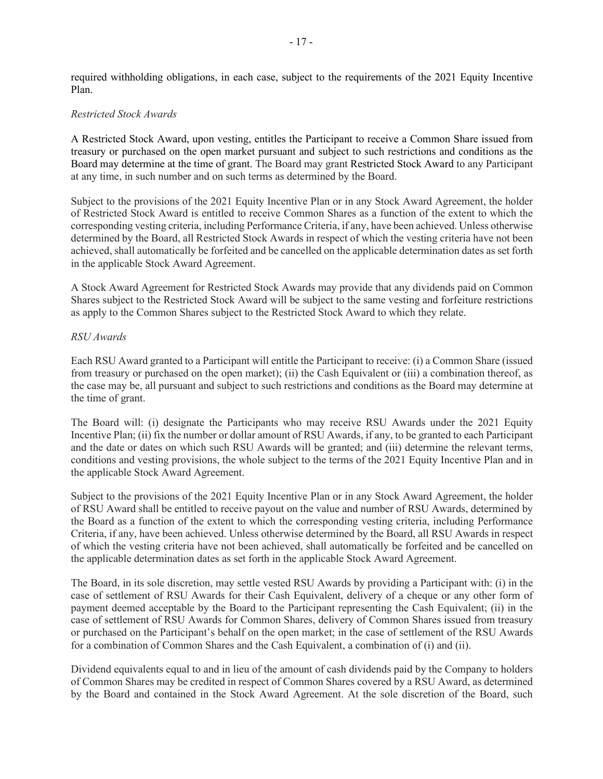required withholding obligations, in each case, subject to the requirements of the 2021 Equity Incentive Plan.

#### *Restricted Stock Awards*

A Restricted Stock Award, upon vesting, entitles the Participant to receive a Common Share issued from treasury or purchased on the open market pursuant and subject to such restrictions and conditions as the Board may determine at the time of grant. The Board may grant Restricted Stock Award to any Participant at any time, in such number and on such terms as determined by the Board.

Subject to the provisions of the 2021 Equity Incentive Plan or in any Stock Award Agreement, the holder of Restricted Stock Award is entitled to receive Common Shares as a function of the extent to which the corresponding vesting criteria, including Performance Criteria, if any, have been achieved. Unless otherwise determined by the Board, all Restricted Stock Awards in respect of which the vesting criteria have not been achieved, shall automatically be forfeited and be cancelled on the applicable determination dates as set forth in the applicable Stock Award Agreement.

A Stock Award Agreement for Restricted Stock Awards may provide that any dividends paid on Common Shares subject to the Restricted Stock Award will be subject to the same vesting and forfeiture restrictions as apply to the Common Shares subject to the Restricted Stock Award to which they relate.

#### *RSU Awards*

Each RSU Award granted to a Participant will entitle the Participant to receive: (i) a Common Share (issued from treasury or purchased on the open market); (ii) the Cash Equivalent or (iii) a combination thereof, as the case may be, all pursuant and subject to such restrictions and conditions as the Board may determine at the time of grant.

The Board will: (i) designate the Participants who may receive RSU Awards under the 2021 Equity Incentive Plan; (ii) fix the number or dollar amount of RSU Awards, if any, to be granted to each Participant and the date or dates on which such RSU Awards will be granted; and (iii) determine the relevant terms, conditions and vesting provisions, the whole subject to the terms of the 2021 Equity Incentive Plan and in the applicable Stock Award Agreement.

Subject to the provisions of the 2021 Equity Incentive Plan or in any Stock Award Agreement, the holder of RSU Award shall be entitled to receive payout on the value and number of RSU Awards, determined by the Board as a function of the extent to which the corresponding vesting criteria, including Performance Criteria, if any, have been achieved. Unless otherwise determined by the Board, all RSU Awards in respect of which the vesting criteria have not been achieved, shall automatically be forfeited and be cancelled on the applicable determination dates as set forth in the applicable Stock Award Agreement.

The Board, in its sole discretion, may settle vested RSU Awards by providing a Participant with: (i) in the case of settlement of RSU Awards for their Cash Equivalent, delivery of a cheque or any other form of payment deemed acceptable by the Board to the Participant representing the Cash Equivalent; (ii) in the case of settlement of RSU Awards for Common Shares, delivery of Common Shares issued from treasury or purchased on the Participant's behalf on the open market; in the case of settlement of the RSU Awards for a combination of Common Shares and the Cash Equivalent, a combination of (i) and (ii).

Dividend equivalents equal to and in lieu of the amount of cash dividends paid by the Company to holders of Common Shares may be credited in respect of Common Shares covered by a RSU Award, as determined by the Board and contained in the Stock Award Agreement. At the sole discretion of the Board, such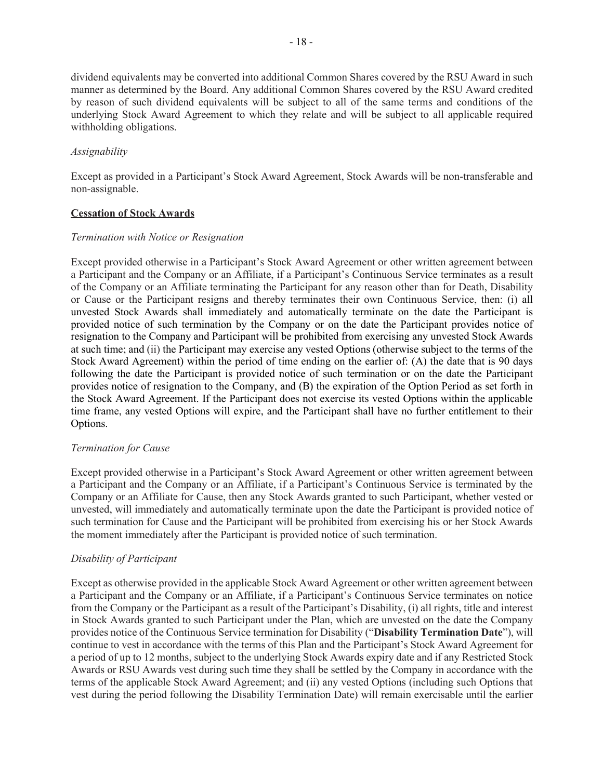dividend equivalents may be converted into additional Common Shares covered by the RSU Award in such manner as determined by the Board. Any additional Common Shares covered by the RSU Award credited by reason of such dividend equivalents will be subject to all of the same terms and conditions of the underlying Stock Award Agreement to which they relate and will be subject to all applicable required withholding obligations.

#### *Assignability*

Except as provided in a Participant's Stock Award Agreement, Stock Awards will be non-transferable and non-assignable.

#### **Cessation of Stock Awards**

# *Termination with Notice or Resignation*

Except provided otherwise in a Participant's Stock Award Agreement or other written agreement between a Participant and the Company or an Affiliate, if a Participant's Continuous Service terminates as a result of the Company or an Affiliate terminating the Participant for any reason other than for Death, Disability or Cause or the Participant resigns and thereby terminates their own Continuous Service, then: (i) all unvested Stock Awards shall immediately and automatically terminate on the date the Participant is provided notice of such termination by the Company or on the date the Participant provides notice of resignation to the Company and Participant will be prohibited from exercising any unvested Stock Awards at such time; and (ii) the Participant may exercise any vested Options (otherwise subject to the terms of the Stock Award Agreement) within the period of time ending on the earlier of: (A) the date that is 90 days following the date the Participant is provided notice of such termination or on the date the Participant provides notice of resignation to the Company, and (B) the expiration of the Option Period as set forth in the Stock Award Agreement. If the Participant does not exercise its vested Options within the applicable time frame, any vested Options will expire, and the Participant shall have no further entitlement to their Options.

# *Termination for Cause*

Except provided otherwise in a Participant's Stock Award Agreement or other written agreement between a Participant and the Company or an Affiliate, if a Participant's Continuous Service is terminated by the Company or an Affiliate for Cause, then any Stock Awards granted to such Participant, whether vested or unvested, will immediately and automatically terminate upon the date the Participant is provided notice of such termination for Cause and the Participant will be prohibited from exercising his or her Stock Awards the moment immediately after the Participant is provided notice of such termination.

# *Disability of Participant*

Except as otherwise provided in the applicable Stock Award Agreement or other written agreement between a Participant and the Company or an Affiliate, if a Participant's Continuous Service terminates on notice from the Company or the Participant as a result of the Participant's Disability, (i) all rights, title and interest in Stock Awards granted to such Participant under the Plan, which are unvested on the date the Company provides notice of the Continuous Service termination for Disability ("**Disability Termination Date**"), will continue to vest in accordance with the terms of this Plan and the Participant's Stock Award Agreement for a period of up to 12 months, subject to the underlying Stock Awards expiry date and if any Restricted Stock Awards or RSU Awards vest during such time they shall be settled by the Company in accordance with the terms of the applicable Stock Award Agreement; and (ii) any vested Options (including such Options that vest during the period following the Disability Termination Date) will remain exercisable until the earlier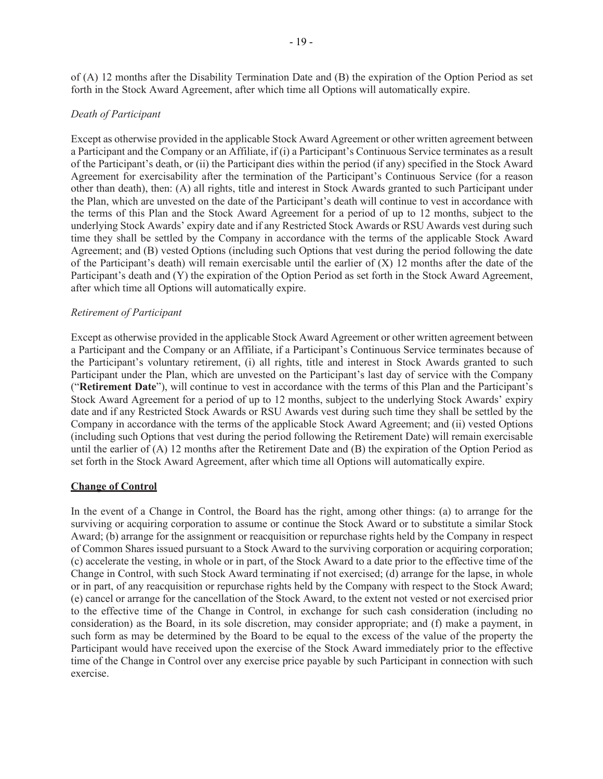of (A) 12 months after the Disability Termination Date and (B) the expiration of the Option Period as set forth in the Stock Award Agreement, after which time all Options will automatically expire.

#### *Death of Participant*

Except as otherwise provided in the applicable Stock Award Agreement or other written agreement between a Participant and the Company or an Affiliate, if (i) a Participant's Continuous Service terminates as a result of the Participant's death, or (ii) the Participant dies within the period (if any) specified in the Stock Award Agreement for exercisability after the termination of the Participant's Continuous Service (for a reason other than death), then: (A) all rights, title and interest in Stock Awards granted to such Participant under the Plan, which are unvested on the date of the Participant's death will continue to vest in accordance with the terms of this Plan and the Stock Award Agreement for a period of up to 12 months, subject to the underlying Stock Awards' expiry date and if any Restricted Stock Awards or RSU Awards vest during such time they shall be settled by the Company in accordance with the terms of the applicable Stock Award Agreement; and (B) vested Options (including such Options that vest during the period following the date of the Participant's death) will remain exercisable until the earlier of  $(X)$  12 months after the date of the Participant's death and (Y) the expiration of the Option Period as set forth in the Stock Award Agreement, after which time all Options will automatically expire.

#### *Retirement of Participant*

Except as otherwise provided in the applicable Stock Award Agreement or other written agreement between a Participant and the Company or an Affiliate, if a Participant's Continuous Service terminates because of the Participant's voluntary retirement, (i) all rights, title and interest in Stock Awards granted to such Participant under the Plan, which are unvested on the Participant's last day of service with the Company ("**Retirement Date**"), will continue to vest in accordance with the terms of this Plan and the Participant's Stock Award Agreement for a period of up to 12 months, subject to the underlying Stock Awards' expiry date and if any Restricted Stock Awards or RSU Awards vest during such time they shall be settled by the Company in accordance with the terms of the applicable Stock Award Agreement; and (ii) vested Options (including such Options that vest during the period following the Retirement Date) will remain exercisable until the earlier of (A) 12 months after the Retirement Date and (B) the expiration of the Option Period as set forth in the Stock Award Agreement, after which time all Options will automatically expire.

#### **Change of Control**

In the event of a Change in Control, the Board has the right, among other things: (a) to arrange for the surviving or acquiring corporation to assume or continue the Stock Award or to substitute a similar Stock Award; (b) arrange for the assignment or reacquisition or repurchase rights held by the Company in respect of Common Shares issued pursuant to a Stock Award to the surviving corporation or acquiring corporation; (c) accelerate the vesting, in whole or in part, of the Stock Award to a date prior to the effective time of the Change in Control, with such Stock Award terminating if not exercised; (d) arrange for the lapse, in whole or in part, of any reacquisition or repurchase rights held by the Company with respect to the Stock Award; (e) cancel or arrange for the cancellation of the Stock Award, to the extent not vested or not exercised prior to the effective time of the Change in Control, in exchange for such cash consideration (including no consideration) as the Board, in its sole discretion, may consider appropriate; and (f) make a payment, in such form as may be determined by the Board to be equal to the excess of the value of the property the Participant would have received upon the exercise of the Stock Award immediately prior to the effective time of the Change in Control over any exercise price payable by such Participant in connection with such exercise.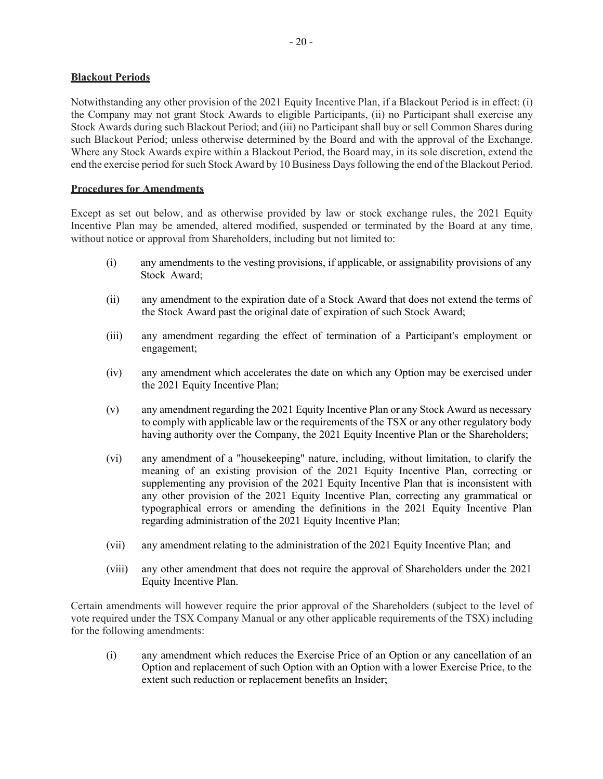#### **Blackout Periods**

Notwithstanding any other provision of the 2021 Equity Incentive Plan, if a Blackout Period is in effect: (i) the Company may not grant Stock Awards to eligible Participants, (ii) no Participant shall exercise any Stock Awards during such Blackout Period; and (iii) no Participant shall buy or sell Common Shares during such Blackout Period; unless otherwise determined by the Board and with the approval of the Exchange. Where any Stock Awards expire within a Blackout Period, the Board may, in its sole discretion, extend the end the exercise period for such Stock Award by 10 Business Days following the end of the Blackout Period.

#### **Procedures for Amendments**

Except as set out below, and as otherwise provided by law or stock exchange rules, the 2021 Equity Incentive Plan may be amended, altered modified, suspended or terminated by the Board at any time, without notice or approval from Shareholders, including but not limited to:

- (i) any amendments to the vesting provisions, if applicable, or assignability provisions of any Stock Award;
- (ii) any amendment to the expiration date of a Stock Award that does not extend the terms of the Stock Award past the original date of expiration of such Stock Award;
- (iii) any amendment regarding the effect of termination of a Participant's employment or engagement;
- (iv) any amendment which accelerates the date on which any Option may be exercised under the 2021 Equity Incentive Plan;
- (v) any amendment regarding the 2021 Equity Incentive Plan or any Stock Award as necessary to comply with applicable law or the requirements of the TSX or any other regulatory body having authority over the Company, the 2021 Equity Incentive Plan or the Shareholders;
- (vi) any amendment of a "housekeeping" nature, including, without limitation, to clarify the meaning of an existing provision of the 2021 Equity Incentive Plan, correcting or supplementing any provision of the 2021 Equity Incentive Plan that is inconsistent with any other provision of the 2021 Equity Incentive Plan, correcting any grammatical or typographical errors or amending the definitions in the 2021 Equity Incentive Plan regarding administration of the 2021 Equity Incentive Plan;
- (vii) any amendment relating to the administration of the 2021 Equity Incentive Plan; and
- (viii) any other amendment that does not require the approval of Shareholders under the 2021 Equity Incentive Plan.

Certain amendments will however require the prior approval of the Shareholders (subject to the level of vote required under the TSX Company Manual or any other applicable requirements of the TSX) including for the following amendments:

(i) any amendment which reduces the Exercise Price of an Option or any cancellation of an Option and replacement of such Option with an Option with a lower Exercise Price, to the extent such reduction or replacement benefits an Insider;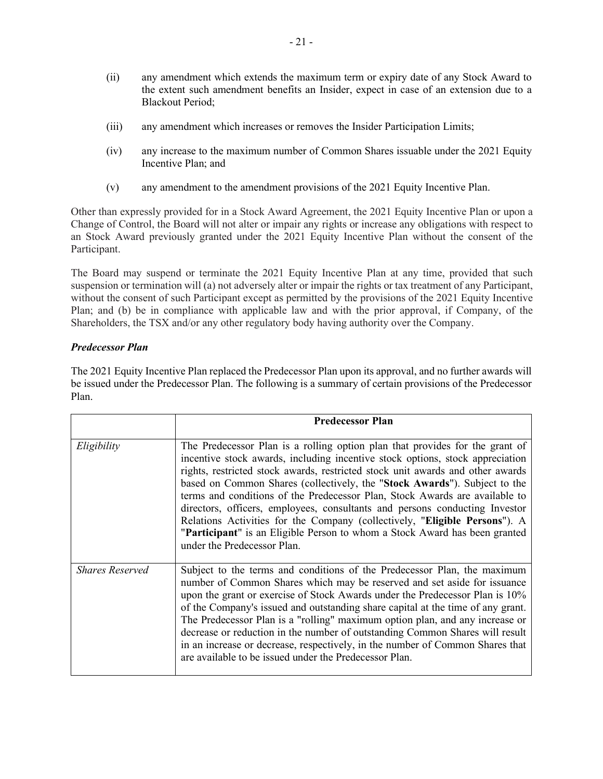- (ii) any amendment which extends the maximum term or expiry date of any Stock Award to the extent such amendment benefits an Insider, expect in case of an extension due to a Blackout Period;
- (iii) any amendment which increases or removes the Insider Participation Limits;
- (iv) any increase to the maximum number of Common Shares issuable under the 2021 Equity Incentive Plan; and
- (v) any amendment to the amendment provisions of the 2021 Equity Incentive Plan.

Other than expressly provided for in a Stock Award Agreement, the 2021 Equity Incentive Plan or upon a Change of Control, the Board will not alter or impair any rights or increase any obligations with respect to an Stock Award previously granted under the 2021 Equity Incentive Plan without the consent of the Participant.

The Board may suspend or terminate the 2021 Equity Incentive Plan at any time, provided that such suspension or termination will (a) not adversely alter or impair the rights or tax treatment of any Participant, without the consent of such Participant except as permitted by the provisions of the 2021 Equity Incentive Plan; and (b) be in compliance with applicable law and with the prior approval, if Company, of the Shareholders, the TSX and/or any other regulatory body having authority over the Company.

# *Predecessor Plan*

The 2021 Equity Incentive Plan replaced the Predecessor Plan upon its approval, and no further awards will be issued under the Predecessor Plan. The following is a summary of certain provisions of the Predecessor Plan.

|                        | <b>Predecessor Plan</b>                                                                                                                                                                                                                                                                                                                                                                                                                                                                                                                                                                                                                                                               |
|------------------------|---------------------------------------------------------------------------------------------------------------------------------------------------------------------------------------------------------------------------------------------------------------------------------------------------------------------------------------------------------------------------------------------------------------------------------------------------------------------------------------------------------------------------------------------------------------------------------------------------------------------------------------------------------------------------------------|
| Eligibility            | The Predecessor Plan is a rolling option plan that provides for the grant of<br>incentive stock awards, including incentive stock options, stock appreciation<br>rights, restricted stock awards, restricted stock unit awards and other awards<br>based on Common Shares (collectively, the "Stock Awards"). Subject to the<br>terms and conditions of the Predecessor Plan, Stock Awards are available to<br>directors, officers, employees, consultants and persons conducting Investor<br>Relations Activities for the Company (collectively, "Eligible Persons"). A<br>"Participant" is an Eligible Person to whom a Stock Award has been granted<br>under the Predecessor Plan. |
| <b>Shares Reserved</b> | Subject to the terms and conditions of the Predecessor Plan, the maximum<br>number of Common Shares which may be reserved and set aside for issuance<br>upon the grant or exercise of Stock Awards under the Predecessor Plan is 10%<br>of the Company's issued and outstanding share capital at the time of any grant.<br>The Predecessor Plan is a "rolling" maximum option plan, and any increase or<br>decrease or reduction in the number of outstanding Common Shares will result<br>in an increase or decrease, respectively, in the number of Common Shares that<br>are available to be issued under the Predecessor Plan.                                                    |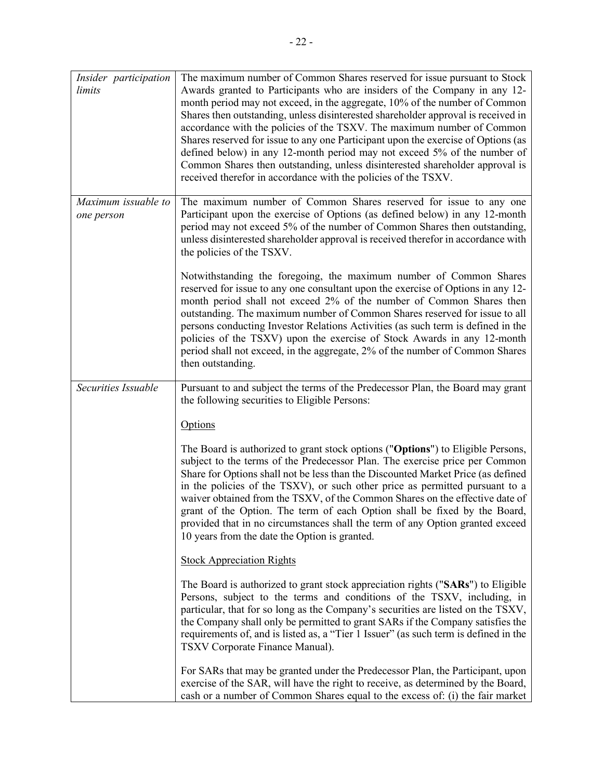| Insider participation<br>limits   | The maximum number of Common Shares reserved for issue pursuant to Stock<br>Awards granted to Participants who are insiders of the Company in any 12-<br>month period may not exceed, in the aggregate, 10% of the number of Common<br>Shares then outstanding, unless disinterested shareholder approval is received in<br>accordance with the policies of the TSXV. The maximum number of Common<br>Shares reserved for issue to any one Participant upon the exercise of Options (as<br>defined below) in any 12-month period may not exceed 5% of the number of<br>Common Shares then outstanding, unless disinterested shareholder approval is<br>received therefor in accordance with the policies of the TSXV. |
|-----------------------------------|-----------------------------------------------------------------------------------------------------------------------------------------------------------------------------------------------------------------------------------------------------------------------------------------------------------------------------------------------------------------------------------------------------------------------------------------------------------------------------------------------------------------------------------------------------------------------------------------------------------------------------------------------------------------------------------------------------------------------|
| Maximum issuable to<br>one person | The maximum number of Common Shares reserved for issue to any one<br>Participant upon the exercise of Options (as defined below) in any 12-month<br>period may not exceed 5% of the number of Common Shares then outstanding,<br>unless disinterested shareholder approval is received therefor in accordance with<br>the policies of the TSXV.                                                                                                                                                                                                                                                                                                                                                                       |
|                                   | Notwithstanding the foregoing, the maximum number of Common Shares<br>reserved for issue to any one consultant upon the exercise of Options in any 12-<br>month period shall not exceed 2% of the number of Common Shares then<br>outstanding. The maximum number of Common Shares reserved for issue to all<br>persons conducting Investor Relations Activities (as such term is defined in the<br>policies of the TSXV) upon the exercise of Stock Awards in any 12-month<br>period shall not exceed, in the aggregate, 2% of the number of Common Shares<br>then outstanding.                                                                                                                                      |
| Securities Issuable               | Pursuant to and subject the terms of the Predecessor Plan, the Board may grant<br>the following securities to Eligible Persons:                                                                                                                                                                                                                                                                                                                                                                                                                                                                                                                                                                                       |
|                                   | Options                                                                                                                                                                                                                                                                                                                                                                                                                                                                                                                                                                                                                                                                                                               |
|                                   | The Board is authorized to grant stock options ("Options") to Eligible Persons,<br>subject to the terms of the Predecessor Plan. The exercise price per Common<br>Share for Options shall not be less than the Discounted Market Price (as defined<br>in the policies of the TSXV), or such other price as permitted pursuant to a<br>waiver obtained from the TSXV, of the Common Shares on the effective date of<br>grant of the Option. The term of each Option shall be fixed by the Board,<br>provided that in no circumstances shall the term of any Option granted exceed<br>10 years from the date the Option is granted.                                                                                     |
|                                   | <b>Stock Appreciation Rights</b>                                                                                                                                                                                                                                                                                                                                                                                                                                                                                                                                                                                                                                                                                      |
|                                   | The Board is authorized to grant stock appreciation rights ("SARs") to Eligible<br>Persons, subject to the terms and conditions of the TSXV, including, in<br>particular, that for so long as the Company's securities are listed on the TSXV,<br>the Company shall only be permitted to grant SARs if the Company satisfies the<br>requirements of, and is listed as, a "Tier 1 Issuer" (as such term is defined in the<br>TSXV Corporate Finance Manual).                                                                                                                                                                                                                                                           |
|                                   | For SARs that may be granted under the Predecessor Plan, the Participant, upon<br>exercise of the SAR, will have the right to receive, as determined by the Board,<br>cash or a number of Common Shares equal to the excess of: (i) the fair market                                                                                                                                                                                                                                                                                                                                                                                                                                                                   |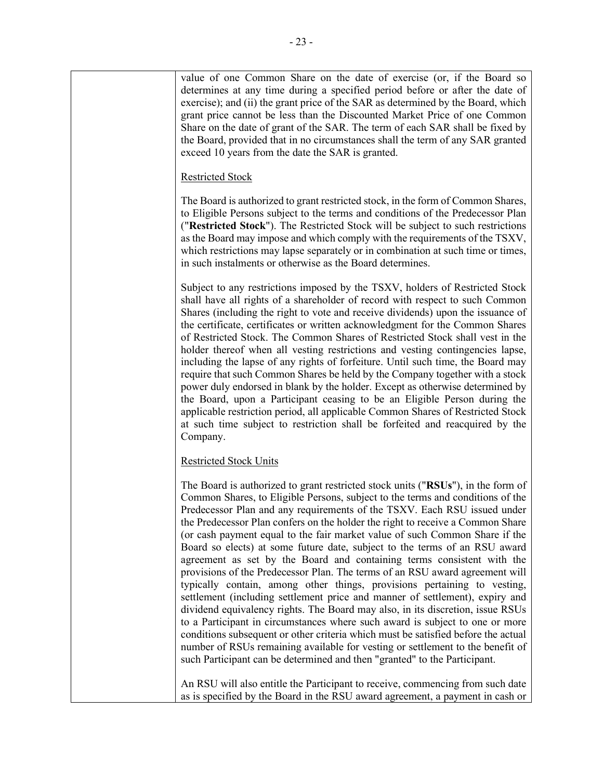value of one Common Share on the date of exercise (or, if the Board so determines at any time during a specified period before or after the date of exercise); and (ii) the grant price of the SAR as determined by the Board, which grant price cannot be less than the Discounted Market Price of one Common Share on the date of grant of the SAR. The term of each SAR shall be fixed by the Board, provided that in no circumstances shall the term of any SAR granted exceed 10 years from the date the SAR is granted.

# Restricted Stock

The Board is authorized to grant restricted stock, in the form of Common Shares, to Eligible Persons subject to the terms and conditions of the Predecessor Plan ("**Restricted Stock**"). The Restricted Stock will be subject to such restrictions as the Board may impose and which comply with the requirements of the TSXV, which restrictions may lapse separately or in combination at such time or times, in such instalments or otherwise as the Board determines.

Subject to any restrictions imposed by the TSXV, holders of Restricted Stock shall have all rights of a shareholder of record with respect to such Common Shares (including the right to vote and receive dividends) upon the issuance of the certificate, certificates or written acknowledgment for the Common Shares of Restricted Stock. The Common Shares of Restricted Stock shall vest in the holder thereof when all vesting restrictions and vesting contingencies lapse, including the lapse of any rights of forfeiture. Until such time, the Board may require that such Common Shares be held by the Company together with a stock power duly endorsed in blank by the holder. Except as otherwise determined by the Board, upon a Participant ceasing to be an Eligible Person during the applicable restriction period, all applicable Common Shares of Restricted Stock at such time subject to restriction shall be forfeited and reacquired by the Company.

# Restricted Stock Units

The Board is authorized to grant restricted stock units ("**RSUs**"), in the form of Common Shares, to Eligible Persons, subject to the terms and conditions of the Predecessor Plan and any requirements of the TSXV. Each RSU issued under the Predecessor Plan confers on the holder the right to receive a Common Share (or cash payment equal to the fair market value of such Common Share if the Board so elects) at some future date, subject to the terms of an RSU award agreement as set by the Board and containing terms consistent with the provisions of the Predecessor Plan. The terms of an RSU award agreement will typically contain, among other things, provisions pertaining to vesting, settlement (including settlement price and manner of settlement), expiry and dividend equivalency rights. The Board may also, in its discretion, issue RSUs to a Participant in circumstances where such award is subject to one or more conditions subsequent or other criteria which must be satisfied before the actual number of RSUs remaining available for vesting or settlement to the benefit of such Participant can be determined and then "granted" to the Participant.

An RSU will also entitle the Participant to receive, commencing from such date as is specified by the Board in the RSU award agreement, a payment in cash or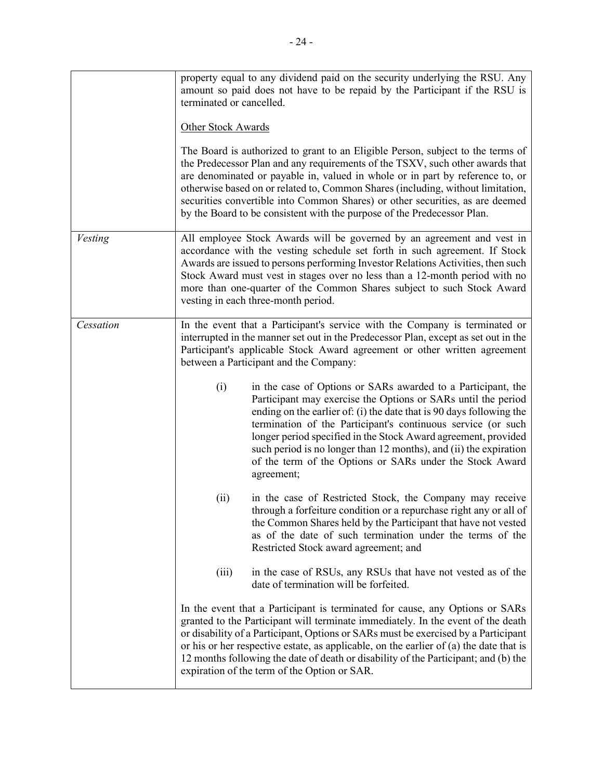|           | property equal to any dividend paid on the security underlying the RSU. Any<br>amount so paid does not have to be repaid by the Participant if the RSU is<br>terminated or cancelled.                                                                                                                                                                                                                                                                                                            |  |  |  |  |
|-----------|--------------------------------------------------------------------------------------------------------------------------------------------------------------------------------------------------------------------------------------------------------------------------------------------------------------------------------------------------------------------------------------------------------------------------------------------------------------------------------------------------|--|--|--|--|
|           | <b>Other Stock Awards</b>                                                                                                                                                                                                                                                                                                                                                                                                                                                                        |  |  |  |  |
|           | The Board is authorized to grant to an Eligible Person, subject to the terms of<br>the Predecessor Plan and any requirements of the TSXV, such other awards that<br>are denominated or payable in, valued in whole or in part by reference to, or<br>otherwise based on or related to, Common Shares (including, without limitation,<br>securities convertible into Common Shares) or other securities, as are deemed<br>by the Board to be consistent with the purpose of the Predecessor Plan. |  |  |  |  |
| Vesting   | All employee Stock Awards will be governed by an agreement and vest in<br>accordance with the vesting schedule set forth in such agreement. If Stock<br>Awards are issued to persons performing Investor Relations Activities, then such<br>Stock Award must vest in stages over no less than a 12-month period with no<br>more than one-quarter of the Common Shares subject to such Stock Award<br>vesting in each three-month period.                                                         |  |  |  |  |
| Cessation | In the event that a Participant's service with the Company is terminated or<br>interrupted in the manner set out in the Predecessor Plan, except as set out in the<br>Participant's applicable Stock Award agreement or other written agreement<br>between a Participant and the Company:                                                                                                                                                                                                        |  |  |  |  |
|           | in the case of Options or SARs awarded to a Participant, the<br>(i)<br>Participant may exercise the Options or SARs until the period<br>ending on the earlier of: (i) the date that is 90 days following the<br>termination of the Participant's continuous service (or such<br>longer period specified in the Stock Award agreement, provided<br>such period is no longer than 12 months), and (ii) the expiration<br>of the term of the Options or SARs under the Stock Award<br>agreement;    |  |  |  |  |
|           | in the case of Restricted Stock, the Company may receive<br>(ii)<br>through a forfeiture condition or a repurchase right any or all of<br>the Common Shares held by the Participant that have not vested<br>as of the date of such termination under the terms of the<br>Restricted Stock award agreement; and                                                                                                                                                                                   |  |  |  |  |
|           | in the case of RSUs, any RSUs that have not vested as of the<br>(iii)<br>date of termination will be forfeited.                                                                                                                                                                                                                                                                                                                                                                                  |  |  |  |  |
|           | In the event that a Participant is terminated for cause, any Options or SARs<br>granted to the Participant will terminate immediately. In the event of the death<br>or disability of a Participant, Options or SARs must be exercised by a Participant<br>or his or her respective estate, as applicable, on the earlier of (a) the date that is<br>12 months following the date of death or disability of the Participant; and (b) the<br>expiration of the term of the Option or SAR.          |  |  |  |  |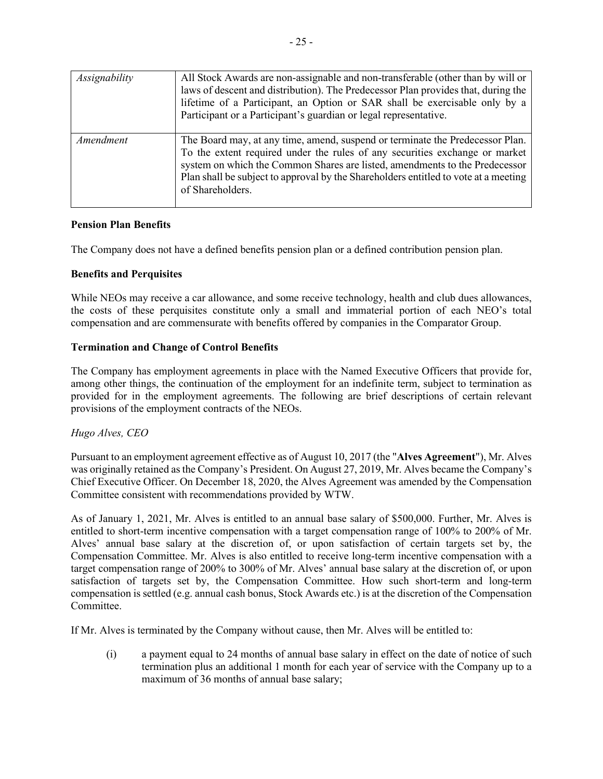| Assignability | All Stock Awards are non-assignable and non-transferable (other than by will or<br>laws of descent and distribution). The Predecessor Plan provides that, during the<br>lifetime of a Participant, an Option or SAR shall be exercisable only by a<br>Participant or a Participant's guardian or legal representative.                                 |
|---------------|--------------------------------------------------------------------------------------------------------------------------------------------------------------------------------------------------------------------------------------------------------------------------------------------------------------------------------------------------------|
| Amendment     | The Board may, at any time, amend, suspend or terminate the Predecessor Plan.<br>To the extent required under the rules of any securities exchange or market<br>system on which the Common Shares are listed, amendments to the Predecessor<br>Plan shall be subject to approval by the Shareholders entitled to vote at a meeting<br>of Shareholders. |

# **Pension Plan Benefits**

The Company does not have a defined benefits pension plan or a defined contribution pension plan.

# **Benefits and Perquisites**

While NEOs may receive a car allowance, and some receive technology, health and club dues allowances, the costs of these perquisites constitute only a small and immaterial portion of each NEO's total compensation and are commensurate with benefits offered by companies in the Comparator Group.

# **Termination and Change of Control Benefits**

The Company has employment agreements in place with the Named Executive Officers that provide for, among other things, the continuation of the employment for an indefinite term, subject to termination as provided for in the employment agreements. The following are brief descriptions of certain relevant provisions of the employment contracts of the NEOs.

# *Hugo Alves, CEO*

Pursuant to an employment agreement effective as of August 10, 2017 (the "**Alves Agreement**"), Mr. Alves was originally retained as the Company's President. On August 27, 2019, Mr. Alves became the Company's Chief Executive Officer. On December 18, 2020, the Alves Agreement was amended by the Compensation Committee consistent with recommendations provided by WTW.

As of January 1, 2021, Mr. Alves is entitled to an annual base salary of \$500,000. Further, Mr. Alves is entitled to short-term incentive compensation with a target compensation range of 100% to 200% of Mr. Alves' annual base salary at the discretion of, or upon satisfaction of certain targets set by, the Compensation Committee. Mr. Alves is also entitled to receive long-term incentive compensation with a target compensation range of 200% to 300% of Mr. Alves' annual base salary at the discretion of, or upon satisfaction of targets set by, the Compensation Committee. How such short-term and long-term compensation is settled (e.g. annual cash bonus, Stock Awards etc.) is at the discretion of the Compensation Committee.

If Mr. Alves is terminated by the Company without cause, then Mr. Alves will be entitled to:

(i) a payment equal to 24 months of annual base salary in effect on the date of notice of such termination plus an additional 1 month for each year of service with the Company up to a maximum of 36 months of annual base salary;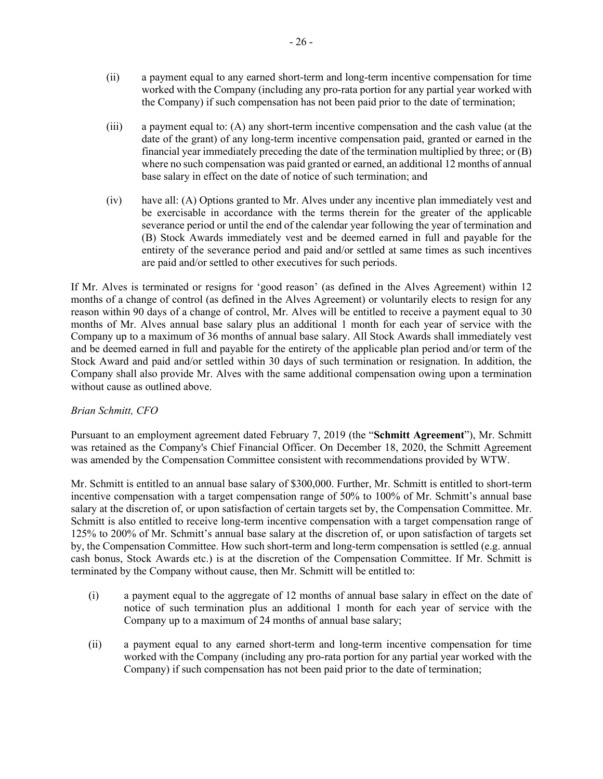- (ii) a payment equal to any earned short-term and long-term incentive compensation for time worked with the Company (including any pro-rata portion for any partial year worked with the Company) if such compensation has not been paid prior to the date of termination;
- (iii) a payment equal to: (A) any short-term incentive compensation and the cash value (at the date of the grant) of any long-term incentive compensation paid, granted or earned in the financial year immediately preceding the date of the termination multiplied by three; or (B) where no such compensation was paid granted or earned, an additional 12 months of annual base salary in effect on the date of notice of such termination; and
- (iv) have all: (A) Options granted to Mr. Alves under any incentive plan immediately vest and be exercisable in accordance with the terms therein for the greater of the applicable severance period or until the end of the calendar year following the year of termination and (B) Stock Awards immediately vest and be deemed earned in full and payable for the entirety of the severance period and paid and/or settled at same times as such incentives are paid and/or settled to other executives for such periods.

If Mr. Alves is terminated or resigns for 'good reason' (as defined in the Alves Agreement) within 12 months of a change of control (as defined in the Alves Agreement) or voluntarily elects to resign for any reason within 90 days of a change of control, Mr. Alves will be entitled to receive a payment equal to 30 months of Mr. Alves annual base salary plus an additional 1 month for each year of service with the Company up to a maximum of 36 months of annual base salary. All Stock Awards shall immediately vest and be deemed earned in full and payable for the entirety of the applicable plan period and/or term of the Stock Award and paid and/or settled within 30 days of such termination or resignation. In addition, the Company shall also provide Mr. Alves with the same additional compensation owing upon a termination without cause as outlined above.

# *Brian Schmitt, CFO*

Pursuant to an employment agreement dated February 7, 2019 (the "**Schmitt Agreement**"), Mr. Schmitt was retained as the Company's Chief Financial Officer. On December 18, 2020, the Schmitt Agreement was amended by the Compensation Committee consistent with recommendations provided by WTW.

Mr. Schmitt is entitled to an annual base salary of \$300,000. Further, Mr. Schmitt is entitled to short-term incentive compensation with a target compensation range of 50% to 100% of Mr. Schmitt's annual base salary at the discretion of, or upon satisfaction of certain targets set by, the Compensation Committee. Mr. Schmitt is also entitled to receive long-term incentive compensation with a target compensation range of 125% to 200% of Mr. Schmitt's annual base salary at the discretion of, or upon satisfaction of targets set by, the Compensation Committee. How such short-term and long-term compensation is settled (e.g. annual cash bonus, Stock Awards etc.) is at the discretion of the Compensation Committee. If Mr. Schmitt is terminated by the Company without cause, then Mr. Schmitt will be entitled to:

- (i) a payment equal to the aggregate of 12 months of annual base salary in effect on the date of notice of such termination plus an additional 1 month for each year of service with the Company up to a maximum of 24 months of annual base salary;
- (ii) a payment equal to any earned short-term and long-term incentive compensation for time worked with the Company (including any pro-rata portion for any partial year worked with the Company) if such compensation has not been paid prior to the date of termination;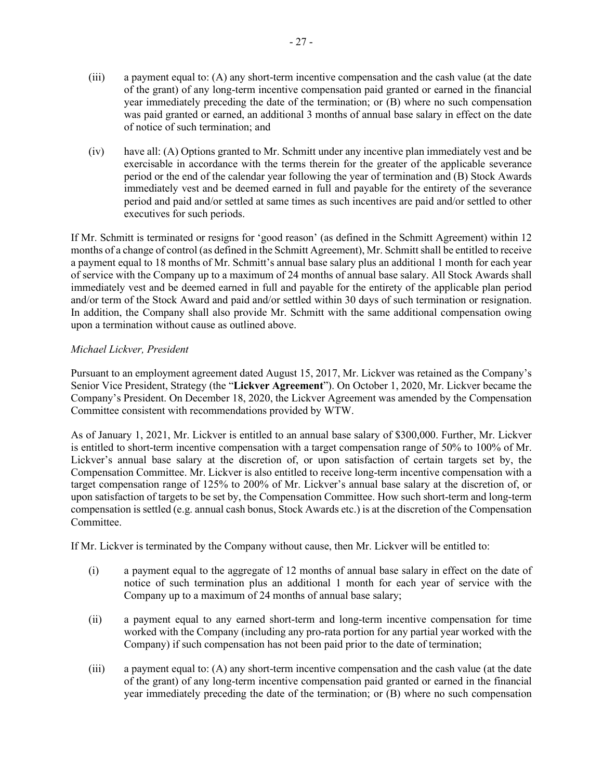- (iii) a payment equal to: (A) any short-term incentive compensation and the cash value (at the date of the grant) of any long-term incentive compensation paid granted or earned in the financial year immediately preceding the date of the termination; or (B) where no such compensation was paid granted or earned, an additional 3 months of annual base salary in effect on the date of notice of such termination; and
- (iv) have all: (A) Options granted to Mr. Schmitt under any incentive plan immediately vest and be exercisable in accordance with the terms therein for the greater of the applicable severance period or the end of the calendar year following the year of termination and (B) Stock Awards immediately vest and be deemed earned in full and payable for the entirety of the severance period and paid and/or settled at same times as such incentives are paid and/or settled to other executives for such periods.

If Mr. Schmitt is terminated or resigns for 'good reason' (as defined in the Schmitt Agreement) within 12 months of a change of control (as defined in the Schmitt Agreement), Mr. Schmitt shall be entitled to receive a payment equal to 18 months of Mr. Schmitt's annual base salary plus an additional 1 month for each year of service with the Company up to a maximum of 24 months of annual base salary. All Stock Awards shall immediately vest and be deemed earned in full and payable for the entirety of the applicable plan period and/or term of the Stock Award and paid and/or settled within 30 days of such termination or resignation. In addition, the Company shall also provide Mr. Schmitt with the same additional compensation owing upon a termination without cause as outlined above.

# *Michael Lickver, President*

Pursuant to an employment agreement dated August 15, 2017, Mr. Lickver was retained as the Company's Senior Vice President, Strategy (the "**Lickver Agreement**"). On October 1, 2020, Mr. Lickver became the Company's President. On December 18, 2020, the Lickver Agreement was amended by the Compensation Committee consistent with recommendations provided by WTW.

As of January 1, 2021, Mr. Lickver is entitled to an annual base salary of \$300,000. Further, Mr. Lickver is entitled to short-term incentive compensation with a target compensation range of 50% to 100% of Mr. Lickver's annual base salary at the discretion of, or upon satisfaction of certain targets set by, the Compensation Committee. Mr. Lickver is also entitled to receive long-term incentive compensation with a target compensation range of 125% to 200% of Mr. Lickver's annual base salary at the discretion of, or upon satisfaction of targets to be set by, the Compensation Committee. How such short-term and long-term compensation is settled (e.g. annual cash bonus, Stock Awards etc.) is at the discretion of the Compensation Committee.

If Mr. Lickver is terminated by the Company without cause, then Mr. Lickver will be entitled to:

- (i) a payment equal to the aggregate of 12 months of annual base salary in effect on the date of notice of such termination plus an additional 1 month for each year of service with the Company up to a maximum of 24 months of annual base salary;
- (ii) a payment equal to any earned short-term and long-term incentive compensation for time worked with the Company (including any pro-rata portion for any partial year worked with the Company) if such compensation has not been paid prior to the date of termination;
- (iii) a payment equal to: (A) any short-term incentive compensation and the cash value (at the date of the grant) of any long-term incentive compensation paid granted or earned in the financial year immediately preceding the date of the termination; or (B) where no such compensation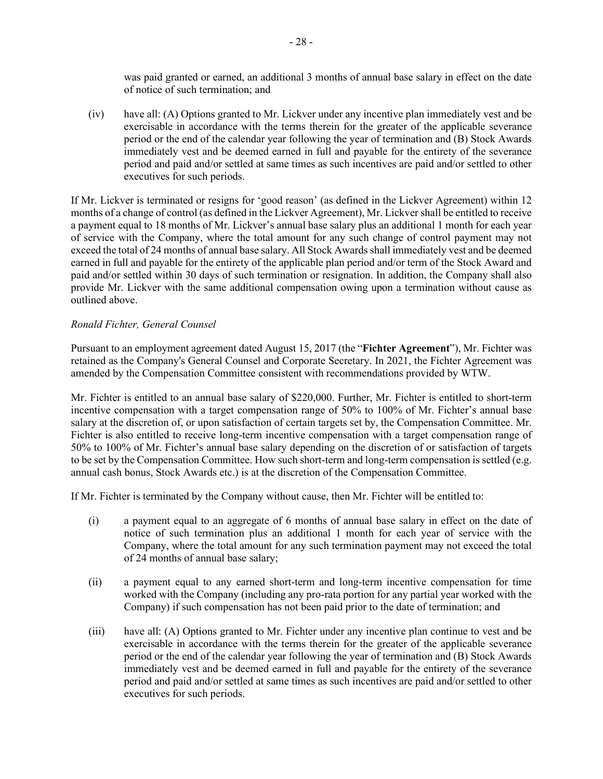was paid granted or earned, an additional 3 months of annual base salary in effect on the date of notice of such termination; and

(iv) have all: (A) Options granted to Mr. Lickver under any incentive plan immediately vest and be exercisable in accordance with the terms therein for the greater of the applicable severance period or the end of the calendar year following the year of termination and (B) Stock Awards immediately vest and be deemed earned in full and payable for the entirety of the severance period and paid and/or settled at same times as such incentives are paid and/or settled to other executives for such periods.

If Mr. Lickver is terminated or resigns for 'good reason' (as defined in the Lickver Agreement) within 12 months of a change of control (as defined in the Lickver Agreement), Mr. Lickver shall be entitled to receive a payment equal to 18 months of Mr. Lickver's annual base salary plus an additional 1 month for each year of service with the Company, where the total amount for any such change of control payment may not exceed the total of 24 months of annual base salary. All Stock Awards shall immediately vest and be deemed earned in full and payable for the entirety of the applicable plan period and/or term of the Stock Award and paid and/or settled within 30 days of such termination or resignation. In addition, the Company shall also provide Mr. Lickver with the same additional compensation owing upon a termination without cause as outlined above.

# *Ronald Fichter, General Counsel*

Pursuant to an employment agreement dated August 15, 2017 (the "**Fichter Agreement**"), Mr. Fichter was retained as the Company's General Counsel and Corporate Secretary. In 2021, the Fichter Agreement was amended by the Compensation Committee consistent with recommendations provided by WTW.

Mr. Fichter is entitled to an annual base salary of \$220,000. Further, Mr. Fichter is entitled to short-term incentive compensation with a target compensation range of 50% to 100% of Mr. Fichter's annual base salary at the discretion of, or upon satisfaction of certain targets set by, the Compensation Committee. Mr. Fichter is also entitled to receive long-term incentive compensation with a target compensation range of 50% to 100% of Mr. Fichter's annual base salary depending on the discretion of or satisfaction of targets to be set by the Compensation Committee. How such short-term and long-term compensation is settled (e.g. annual cash bonus, Stock Awards etc.) is at the discretion of the Compensation Committee.

If Mr. Fichter is terminated by the Company without cause, then Mr. Fichter will be entitled to:

- (i) a payment equal to an aggregate of 6 months of annual base salary in effect on the date of notice of such termination plus an additional 1 month for each year of service with the Company, where the total amount for any such termination payment may not exceed the total of 24 months of annual base salary;
- (ii) a payment equal to any earned short-term and long-term incentive compensation for time worked with the Company (including any pro-rata portion for any partial year worked with the Company) if such compensation has not been paid prior to the date of termination; and
- (iii) have all: (A) Options granted to Mr. Fichter under any incentive plan continue to vest and be exercisable in accordance with the terms therein for the greater of the applicable severance period or the end of the calendar year following the year of termination and (B) Stock Awards immediately vest and be deemed earned in full and payable for the entirety of the severance period and paid and/or settled at same times as such incentives are paid and/or settled to other executives for such periods.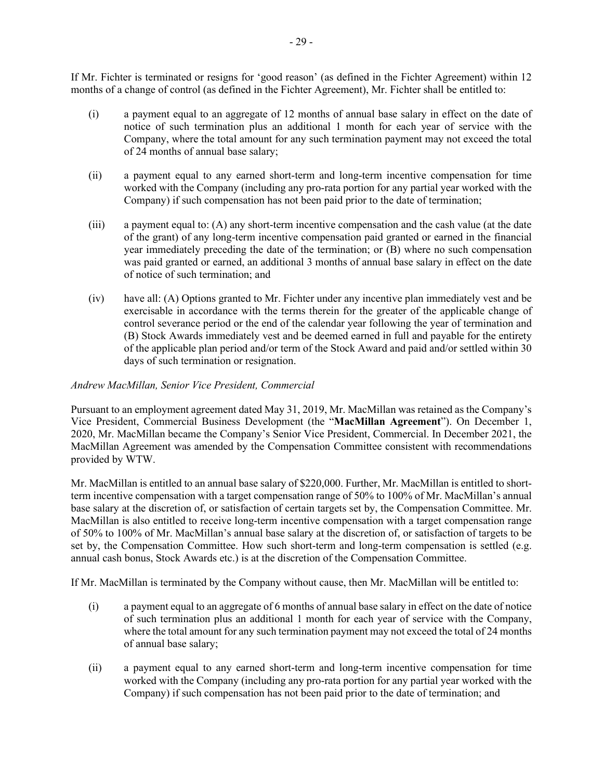If Mr. Fichter is terminated or resigns for 'good reason' (as defined in the Fichter Agreement) within 12 months of a change of control (as defined in the Fichter Agreement), Mr. Fichter shall be entitled to:

- (i) a payment equal to an aggregate of 12 months of annual base salary in effect on the date of notice of such termination plus an additional 1 month for each year of service with the Company, where the total amount for any such termination payment may not exceed the total of 24 months of annual base salary;
- (ii) a payment equal to any earned short-term and long-term incentive compensation for time worked with the Company (including any pro-rata portion for any partial year worked with the Company) if such compensation has not been paid prior to the date of termination;
- (iii) a payment equal to: (A) any short-term incentive compensation and the cash value (at the date of the grant) of any long-term incentive compensation paid granted or earned in the financial year immediately preceding the date of the termination; or (B) where no such compensation was paid granted or earned, an additional 3 months of annual base salary in effect on the date of notice of such termination; and
- (iv) have all: (A) Options granted to Mr. Fichter under any incentive plan immediately vest and be exercisable in accordance with the terms therein for the greater of the applicable change of control severance period or the end of the calendar year following the year of termination and (B) Stock Awards immediately vest and be deemed earned in full and payable for the entirety of the applicable plan period and/or term of the Stock Award and paid and/or settled within 30 days of such termination or resignation.

# *Andrew MacMillan, Senior Vice President, Commercial*

Pursuant to an employment agreement dated May 31, 2019, Mr. MacMillan was retained as the Company's Vice President, Commercial Business Development (the "**MacMillan Agreement**"). On December 1, 2020, Mr. MacMillan became the Company's Senior Vice President, Commercial. In December 2021, the MacMillan Agreement was amended by the Compensation Committee consistent with recommendations provided by WTW.

Mr. MacMillan is entitled to an annual base salary of \$220,000. Further, Mr. MacMillan is entitled to shortterm incentive compensation with a target compensation range of 50% to 100% of Mr. MacMillan's annual base salary at the discretion of, or satisfaction of certain targets set by, the Compensation Committee. Mr. MacMillan is also entitled to receive long-term incentive compensation with a target compensation range of 50% to 100% of Mr. MacMillan's annual base salary at the discretion of, or satisfaction of targets to be set by, the Compensation Committee. How such short-term and long-term compensation is settled (e.g. annual cash bonus, Stock Awards etc.) is at the discretion of the Compensation Committee.

If Mr. MacMillan is terminated by the Company without cause, then Mr. MacMillan will be entitled to:

- (i) a payment equal to an aggregate of 6 months of annual base salary in effect on the date of notice of such termination plus an additional 1 month for each year of service with the Company, where the total amount for any such termination payment may not exceed the total of 24 months of annual base salary;
- (ii) a payment equal to any earned short-term and long-term incentive compensation for time worked with the Company (including any pro-rata portion for any partial year worked with the Company) if such compensation has not been paid prior to the date of termination; and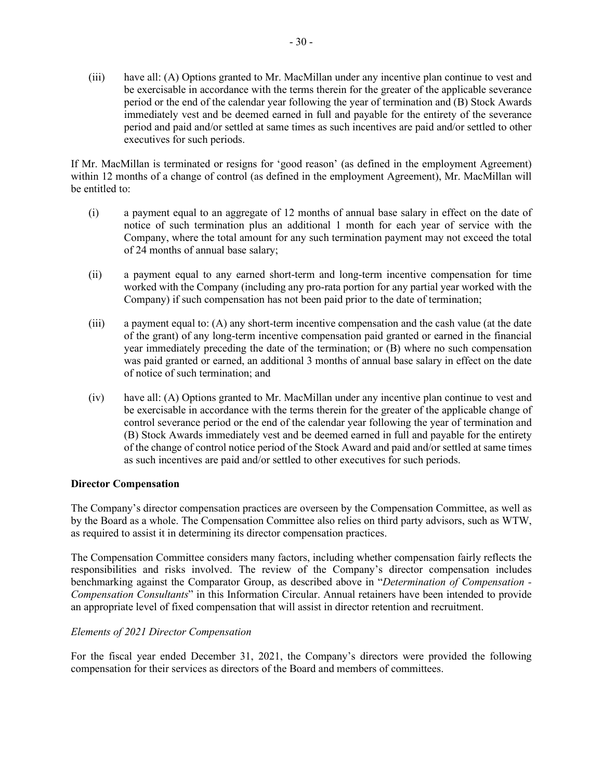(iii) have all: (A) Options granted to Mr. MacMillan under any incentive plan continue to vest and be exercisable in accordance with the terms therein for the greater of the applicable severance period or the end of the calendar year following the year of termination and (B) Stock Awards immediately vest and be deemed earned in full and payable for the entirety of the severance period and paid and/or settled at same times as such incentives are paid and/or settled to other executives for such periods.

If Mr. MacMillan is terminated or resigns for 'good reason' (as defined in the employment Agreement) within 12 months of a change of control (as defined in the employment Agreement), Mr. MacMillan will be entitled to:

- (i) a payment equal to an aggregate of 12 months of annual base salary in effect on the date of notice of such termination plus an additional 1 month for each year of service with the Company, where the total amount for any such termination payment may not exceed the total of 24 months of annual base salary;
- (ii) a payment equal to any earned short-term and long-term incentive compensation for time worked with the Company (including any pro-rata portion for any partial year worked with the Company) if such compensation has not been paid prior to the date of termination;
- (iii) a payment equal to: (A) any short-term incentive compensation and the cash value (at the date of the grant) of any long-term incentive compensation paid granted or earned in the financial year immediately preceding the date of the termination; or (B) where no such compensation was paid granted or earned, an additional 3 months of annual base salary in effect on the date of notice of such termination; and
- (iv) have all: (A) Options granted to Mr. MacMillan under any incentive plan continue to vest and be exercisable in accordance with the terms therein for the greater of the applicable change of control severance period or the end of the calendar year following the year of termination and (B) Stock Awards immediately vest and be deemed earned in full and payable for the entirety of the change of control notice period of the Stock Award and paid and/or settled at same times as such incentives are paid and/or settled to other executives for such periods.

# **Director Compensation**

The Company's director compensation practices are overseen by the Compensation Committee, as well as by the Board as a whole. The Compensation Committee also relies on third party advisors, such as WTW, as required to assist it in determining its director compensation practices.

The Compensation Committee considers many factors, including whether compensation fairly reflects the responsibilities and risks involved. The review of the Company's director compensation includes benchmarking against the Comparator Group, as described above in "*Determination of Compensation - Compensation Consultants*" in this Information Circular. Annual retainers have been intended to provide an appropriate level of fixed compensation that will assist in director retention and recruitment.

# *Elements of 2021 Director Compensation*

For the fiscal year ended December 31, 2021, the Company's directors were provided the following compensation for their services as directors of the Board and members of committees.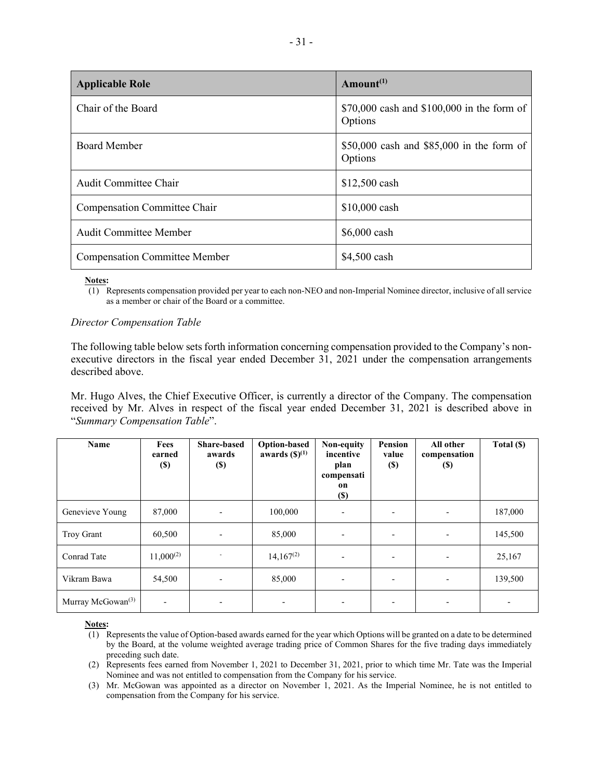| <b>Applicable Role</b>               | Amount <sup><math>(1)</math></sup>                    |
|--------------------------------------|-------------------------------------------------------|
| Chair of the Board                   | \$70,000 cash and \$100,000 in the form of<br>Options |
| <b>Board Member</b>                  | \$50,000 cash and $$85,000$ in the form of<br>Options |
| <b>Audit Committee Chair</b>         | \$12,500 cash                                         |
| Compensation Committee Chair         | \$10,000 cash                                         |
| <b>Audit Committee Member</b>        | $$6,000$ cash                                         |
| <b>Compensation Committee Member</b> | \$4,500 cash                                          |

**Notes:** 

(1) Represents compensation provided per year to each non-NEO and non-Imperial Nominee director, inclusive of all service as a member or chair of the Board or a committee.

#### *Director Compensation Table*

The following table below sets forth information concerning compensation provided to the Company's nonexecutive directors in the fiscal year ended December 31, 2021 under the compensation arrangements described above.

Mr. Hugo Alves, the Chief Executive Officer, is currently a director of the Company. The compensation received by Mr. Alves in respect of the fiscal year ended December 31, 2021 is described above in "*Summary Compensation Table*".

| Name                          | Fees<br>earned<br>$\left( \mathbb{S}\right)$ | <b>Share-based</b><br>awards<br><b>(\$)</b> | <b>Option-based</b><br>awards $(\mathbf{S})^{(1)}$ | Non-equity<br>incentive<br>plan<br>compensati<br>on<br>$(\$)$ | <b>Pension</b><br>value<br>$(\$)$ | All other<br>compensation<br><b>(S)</b> | Total (\$) |
|-------------------------------|----------------------------------------------|---------------------------------------------|----------------------------------------------------|---------------------------------------------------------------|-----------------------------------|-----------------------------------------|------------|
| Genevieve Young               | 87,000                                       | $\blacksquare$                              | 100,000                                            | $\overline{\phantom{a}}$                                      | $\overline{\phantom{0}}$          | $\overline{\phantom{a}}$                | 187,000    |
| <b>Troy Grant</b>             | 60,500                                       | $\overline{\phantom{a}}$                    | 85,000                                             | $\overline{\phantom{a}}$                                      |                                   | $\overline{\phantom{a}}$                | 145,500    |
| Conrad Tate                   | $11,000^{(2)}$                               |                                             | $14,167^{(2)}$                                     | $\overline{\phantom{a}}$                                      | $\overline{\phantom{a}}$          | $\overline{\phantom{a}}$                | 25,167     |
| Vikram Bawa                   | 54,500                                       | $\overline{\phantom{a}}$                    | 85,000                                             | $\overline{\phantom{a}}$                                      |                                   |                                         | 139,500    |
| Murray McGowan <sup>(3)</sup> | $\overline{\phantom{a}}$                     | $\overline{\phantom{a}}$                    | $\overline{\phantom{0}}$                           | $\overline{\phantom{a}}$                                      | -                                 | $\overline{\phantom{a}}$                | ٠          |

**Notes:** 

<sup>(1)</sup> Represents the value of Option-based awards earned for the year which Options will be granted on a date to be determined by the Board, at the volume weighted average trading price of Common Shares for the five trading days immediately preceding such date.

<sup>(2)</sup> Represents fees earned from November 1, 2021 to December 31, 2021, prior to which time Mr. Tate was the Imperial Nominee and was not entitled to compensation from the Company for his service.

<sup>(3)</sup> Mr. McGowan was appointed as a director on November 1, 2021. As the Imperial Nominee, he is not entitled to compensation from the Company for his service.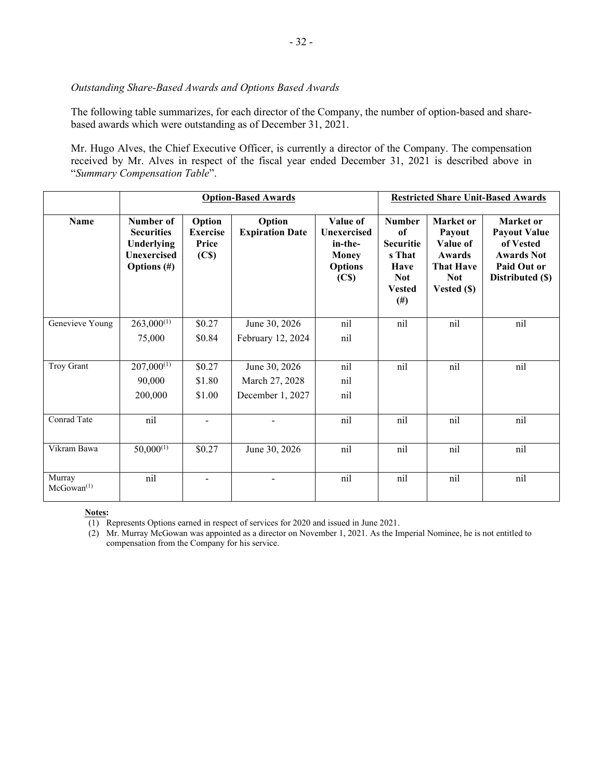#### *Outstanding Share-Based Awards and Options Based Awards*

The following table summarizes, for each director of the Company, the number of option-based and sharebased awards which were outstanding as of December 31, 2021.

Mr. Hugo Alves, the Chief Executive Officer, is currently a director of the Company. The compensation received by Mr. Alves in respect of the fiscal year ended December 31, 2021 is described above in "*Summary Compensation Table*".

|                           | <b>Option-Based Awards</b>                                                           |                                                         |                                  |                                                                                           | <b>Restricted Share Unit-Based Awards</b>                                                            |                                                                                            |                                                                                                       |
|---------------------------|--------------------------------------------------------------------------------------|---------------------------------------------------------|----------------------------------|-------------------------------------------------------------------------------------------|------------------------------------------------------------------------------------------------------|--------------------------------------------------------------------------------------------|-------------------------------------------------------------------------------------------------------|
| <b>Name</b>               | Number of<br><b>Securities</b><br>Underlying<br><b>Unexercised</b><br>Options $(\#)$ | Option<br><b>Exercise</b><br>Price<br>(C <sub>s</sub> ) | Option<br><b>Expiration Date</b> | Value of<br>Unexercised<br>in-the-<br><b>Money</b><br><b>Options</b><br>(C <sub>s</sub> ) | <b>Number</b><br>of<br><b>Securitie</b><br>s That<br>Have<br><b>Not</b><br><b>Vested</b><br>$^{(#)}$ | Market or<br>Payout<br>Value of<br>Awards<br><b>That Have</b><br><b>Not</b><br>Vested (\$) | Market or<br><b>Payout Value</b><br>of Vested<br><b>Awards Not</b><br>Paid Out or<br>Distributed (\$) |
| Genevieve Young           | $263,000^{(1)}$                                                                      | \$0.27                                                  | June 30, 2026                    | nil                                                                                       | nil                                                                                                  | nil                                                                                        | nil                                                                                                   |
|                           | 75,000                                                                               | \$0.84                                                  | February 12, 2024                | nil                                                                                       |                                                                                                      |                                                                                            |                                                                                                       |
| Troy Grant                | $207,000^{(1)}$                                                                      | \$0.27                                                  | June 30, 2026                    | nil                                                                                       | nil                                                                                                  | nil                                                                                        | nil                                                                                                   |
|                           | 90,000                                                                               | \$1.80                                                  | March 27, 2028                   | nil                                                                                       |                                                                                                      |                                                                                            |                                                                                                       |
|                           | 200,000                                                                              | \$1.00                                                  | December 1, 2027                 | nil                                                                                       |                                                                                                      |                                                                                            |                                                                                                       |
| Conrad Tate               | nil                                                                                  |                                                         |                                  | nil                                                                                       | nil                                                                                                  | nil                                                                                        | nil                                                                                                   |
| Vikram Bawa               | $50,000^{(1)}$                                                                       | \$0.27                                                  | June 30, 2026                    | nil                                                                                       | nil                                                                                                  | nil                                                                                        | nil                                                                                                   |
| Murray<br>$McGowan^{(1)}$ | nil                                                                                  |                                                         |                                  | nil                                                                                       | nil                                                                                                  | nil                                                                                        | nil                                                                                                   |

#### **Notes:**

(1) Represents Options earned in respect of services for 2020 and issued in June 2021.

(2) Mr. Murray McGowan was appointed as a director on November 1, 2021. As the Imperial Nominee, he is not entitled to compensation from the Company for his service.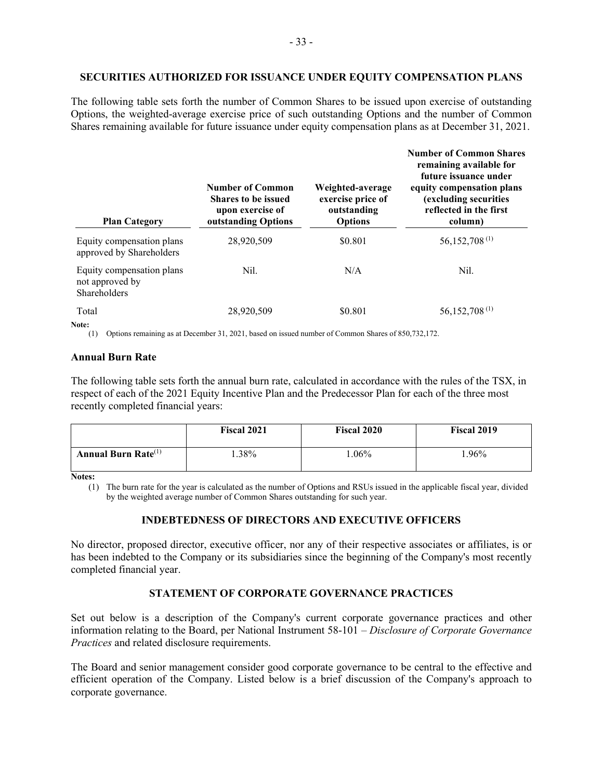#### **SECURITIES AUTHORIZED FOR ISSUANCE UNDER EQUITY COMPENSATION PLANS**

The following table sets forth the number of Common Shares to be issued upon exercise of outstanding Options, the weighted-average exercise price of such outstanding Options and the number of Common Shares remaining available for future issuance under equity compensation plans as at December 31, 2021.

| <b>Plan Category</b>                                         | <b>Number of Common</b><br><b>Shares to be issued</b><br>upon exercise of<br>outstanding Options | Weighted-average<br>exercise price of<br>outstanding<br><b>Options</b> | <b>Number of Common Shares</b><br>remaining available for<br>future issuance under<br>equity compensation plans<br>(excluding securities<br>reflected in the first<br>column) |
|--------------------------------------------------------------|--------------------------------------------------------------------------------------------------|------------------------------------------------------------------------|-------------------------------------------------------------------------------------------------------------------------------------------------------------------------------|
| Equity compensation plans<br>approved by Shareholders        | 28,920,509                                                                                       | \$0.801                                                                | 56,152,708 <sup>(1)</sup>                                                                                                                                                     |
| Equity compensation plans<br>not approved by<br>Shareholders | Nil.                                                                                             | N/A                                                                    | Nil.                                                                                                                                                                          |
| Total<br>Note:                                               | 28,920,509                                                                                       | \$0.801                                                                | 56, 152, 708 <sup>(1)</sup>                                                                                                                                                   |

(1) Options remaining as at December 31, 2021, based on issued number of Common Shares of 850,732,172.

# **Annual Burn Rate**

The following table sets forth the annual burn rate, calculated in accordance with the rules of the TSX, in respect of each of the 2021 Equity Incentive Plan and the Predecessor Plan for each of the three most recently completed financial years:

|                           | <b>Fiscal 2021</b> | <b>Fiscal 2020</b> | <b>Fiscal 2019</b> |
|---------------------------|--------------------|--------------------|--------------------|
| Annual Burn Rate $^{(1)}$ | .38%               | $.06\%$            | .96%               |

**Notes:**

(1) The burn rate for the year is calculated as the number of Options and RSUs issued in the applicable fiscal year, divided by the weighted average number of Common Shares outstanding for such year.

# **INDEBTEDNESS OF DIRECTORS AND EXECUTIVE OFFICERS**

No director, proposed director, executive officer, nor any of their respective associates or affiliates, is or has been indebted to the Company or its subsidiaries since the beginning of the Company's most recently completed financial year.

# **STATEMENT OF CORPORATE GOVERNANCE PRACTICES**

Set out below is a description of the Company's current corporate governance practices and other information relating to the Board, per National Instrument 58-101 – *Disclosure of Corporate Governance Practices* and related disclosure requirements.

The Board and senior management consider good corporate governance to be central to the effective and efficient operation of the Company. Listed below is a brief discussion of the Company's approach to corporate governance.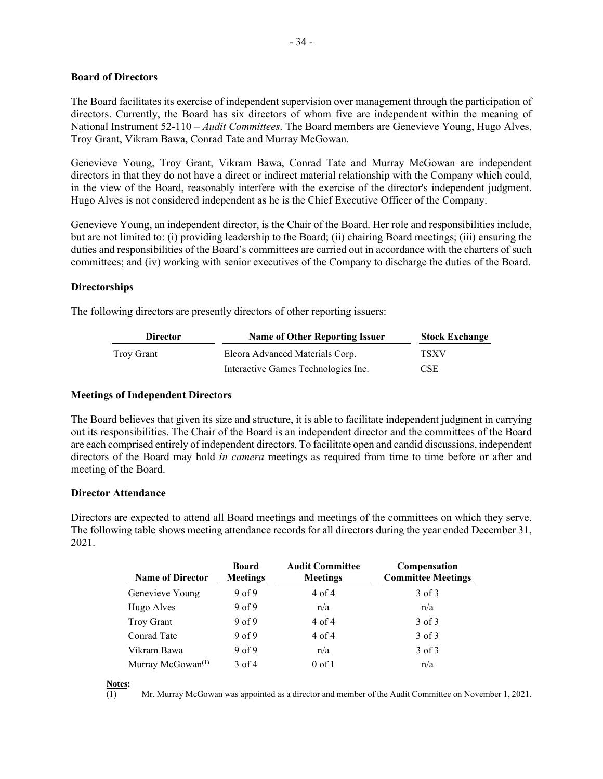#### **Board of Directors**

The Board facilitates its exercise of independent supervision over management through the participation of directors. Currently, the Board has six directors of whom five are independent within the meaning of National Instrument 52-110 – *Audit Committees*. The Board members are Genevieve Young, Hugo Alves, Troy Grant, Vikram Bawa, Conrad Tate and Murray McGowan.

Genevieve Young, Troy Grant, Vikram Bawa, Conrad Tate and Murray McGowan are independent directors in that they do not have a direct or indirect material relationship with the Company which could, in the view of the Board, reasonably interfere with the exercise of the director's independent judgment. Hugo Alves is not considered independent as he is the Chief Executive Officer of the Company.

Genevieve Young, an independent director, is the Chair of the Board. Her role and responsibilities include, but are not limited to: (i) providing leadership to the Board; (ii) chairing Board meetings; (iii) ensuring the duties and responsibilities of the Board's committees are carried out in accordance with the charters of such committees; and (iv) working with senior executives of the Company to discharge the duties of the Board.

# **Directorships**

The following directors are presently directors of other reporting issuers:

| <b>Director</b> | <b>Name of Other Reporting Issuer</b> | <b>Stock Exchange</b><br>TSXV |  |
|-----------------|---------------------------------------|-------------------------------|--|
| Troy Grant      | Elcora Advanced Materials Corp.       |                               |  |
|                 | Interactive Games Technologies Inc.   | <b>CSE</b>                    |  |

# **Meetings of Independent Directors**

The Board believes that given its size and structure, it is able to facilitate independent judgment in carrying out its responsibilities. The Chair of the Board is an independent director and the committees of the Board are each comprised entirely of independent directors. To facilitate open and candid discussions, independent directors of the Board may hold *in camera* meetings as required from time to time before or after and meeting of the Board.

# **Director Attendance**

Directors are expected to attend all Board meetings and meetings of the committees on which they serve. The following table shows meeting attendance records for all directors during the year ended December 31, 2021.

| <b>Name of Director</b>       | <b>Board</b><br><b>Meetings</b> | <b>Audit Committee</b><br><b>Meetings</b> | Compensation<br><b>Committee Meetings</b> |
|-------------------------------|---------------------------------|-------------------------------------------|-------------------------------------------|
| Genevieve Young               | 9 <sub>of</sub> 9               | $4$ of $4$                                | $3$ of $3$                                |
| Hugo Alves                    | 9 <sub>of</sub> 9               | n/a                                       | n/a                                       |
| Troy Grant                    | 9 <sub>of</sub> 9               | $4$ of $4$                                | $3$ of $3$                                |
| Conrad Tate                   | 9 <sub>of</sub> 9               | $4$ of $4$                                | $3$ of $3$                                |
| Vikram Bawa                   | 9 <sub>of</sub> 9               | n/a                                       | $3$ of $3$                                |
| Murray McGowan <sup>(1)</sup> | $3$ of 4                        | $0$ of 1                                  | n/a                                       |

Mr. Murray McGowan was appointed as a director and member of the Audit Committee on November 1, 2021.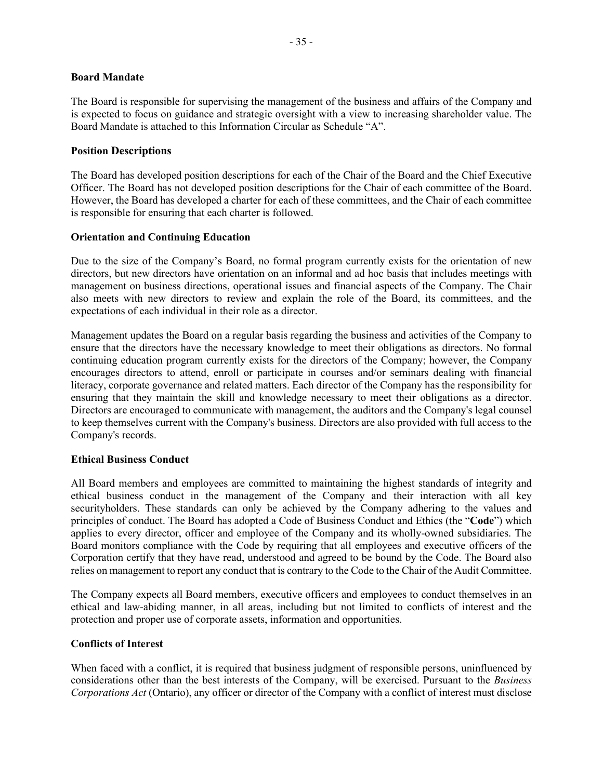#### **Board Mandate**

The Board is responsible for supervising the management of the business and affairs of the Company and is expected to focus on guidance and strategic oversight with a view to increasing shareholder value. The Board Mandate is attached to this Information Circular as Schedule "A".

# **Position Descriptions**

The Board has developed position descriptions for each of the Chair of the Board and the Chief Executive Officer. The Board has not developed position descriptions for the Chair of each committee of the Board. However, the Board has developed a charter for each of these committees, and the Chair of each committee is responsible for ensuring that each charter is followed.

#### **Orientation and Continuing Education**

Due to the size of the Company's Board, no formal program currently exists for the orientation of new directors, but new directors have orientation on an informal and ad hoc basis that includes meetings with management on business directions, operational issues and financial aspects of the Company. The Chair also meets with new directors to review and explain the role of the Board, its committees, and the expectations of each individual in their role as a director.

Management updates the Board on a regular basis regarding the business and activities of the Company to ensure that the directors have the necessary knowledge to meet their obligations as directors. No formal continuing education program currently exists for the directors of the Company; however, the Company encourages directors to attend, enroll or participate in courses and/or seminars dealing with financial literacy, corporate governance and related matters. Each director of the Company has the responsibility for ensuring that they maintain the skill and knowledge necessary to meet their obligations as a director. Directors are encouraged to communicate with management, the auditors and the Company's legal counsel to keep themselves current with the Company's business. Directors are also provided with full access to the Company's records.

#### **Ethical Business Conduct**

All Board members and employees are committed to maintaining the highest standards of integrity and ethical business conduct in the management of the Company and their interaction with all key securityholders. These standards can only be achieved by the Company adhering to the values and principles of conduct. The Board has adopted a Code of Business Conduct and Ethics (the "**Code**") which applies to every director, officer and employee of the Company and its wholly-owned subsidiaries. The Board monitors compliance with the Code by requiring that all employees and executive officers of the Corporation certify that they have read, understood and agreed to be bound by the Code. The Board also relies on management to report any conduct that is contrary to the Code to the Chair of the Audit Committee.

The Company expects all Board members, executive officers and employees to conduct themselves in an ethical and law-abiding manner, in all areas, including but not limited to conflicts of interest and the protection and proper use of corporate assets, information and opportunities.

# **Conflicts of Interest**

When faced with a conflict, it is required that business judgment of responsible persons, uninfluenced by considerations other than the best interests of the Company, will be exercised. Pursuant to the *Business Corporations Act* (Ontario), any officer or director of the Company with a conflict of interest must disclose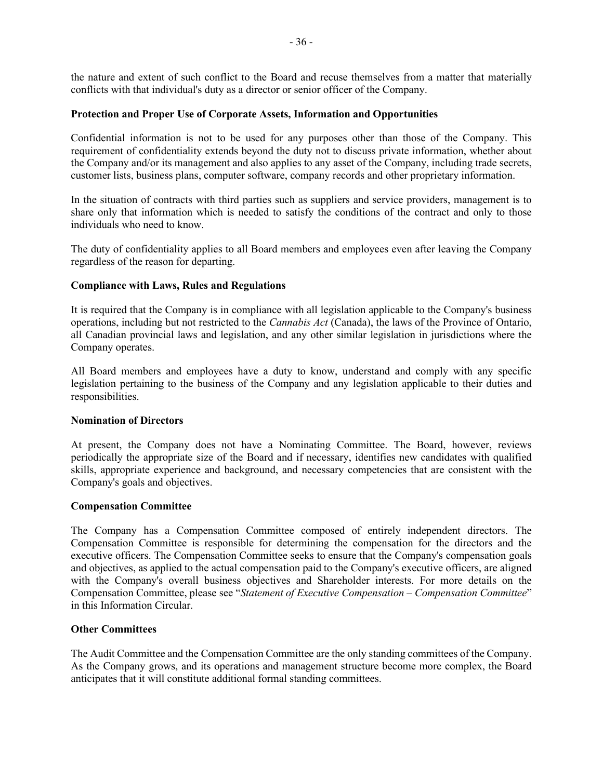the nature and extent of such conflict to the Board and recuse themselves from a matter that materially conflicts with that individual's duty as a director or senior officer of the Company.

#### **Protection and Proper Use of Corporate Assets, Information and Opportunities**

Confidential information is not to be used for any purposes other than those of the Company. This requirement of confidentiality extends beyond the duty not to discuss private information, whether about the Company and/or its management and also applies to any asset of the Company, including trade secrets, customer lists, business plans, computer software, company records and other proprietary information.

In the situation of contracts with third parties such as suppliers and service providers, management is to share only that information which is needed to satisfy the conditions of the contract and only to those individuals who need to know.

The duty of confidentiality applies to all Board members and employees even after leaving the Company regardless of the reason for departing.

#### **Compliance with Laws, Rules and Regulations**

It is required that the Company is in compliance with all legislation applicable to the Company's business operations, including but not restricted to the *Cannabis Act* (Canada), the laws of the Province of Ontario, all Canadian provincial laws and legislation, and any other similar legislation in jurisdictions where the Company operates.

All Board members and employees have a duty to know, understand and comply with any specific legislation pertaining to the business of the Company and any legislation applicable to their duties and responsibilities.

#### **Nomination of Directors**

At present, the Company does not have a Nominating Committee. The Board, however, reviews periodically the appropriate size of the Board and if necessary, identifies new candidates with qualified skills, appropriate experience and background, and necessary competencies that are consistent with the Company's goals and objectives.

#### **Compensation Committee**

The Company has a Compensation Committee composed of entirely independent directors. The Compensation Committee is responsible for determining the compensation for the directors and the executive officers. The Compensation Committee seeks to ensure that the Company's compensation goals and objectives, as applied to the actual compensation paid to the Company's executive officers, are aligned with the Company's overall business objectives and Shareholder interests. For more details on the Compensation Committee, please see "*Statement of Executive Compensation – Compensation Committee*" in this Information Circular.

#### **Other Committees**

The Audit Committee and the Compensation Committee are the only standing committees of the Company. As the Company grows, and its operations and management structure become more complex, the Board anticipates that it will constitute additional formal standing committees.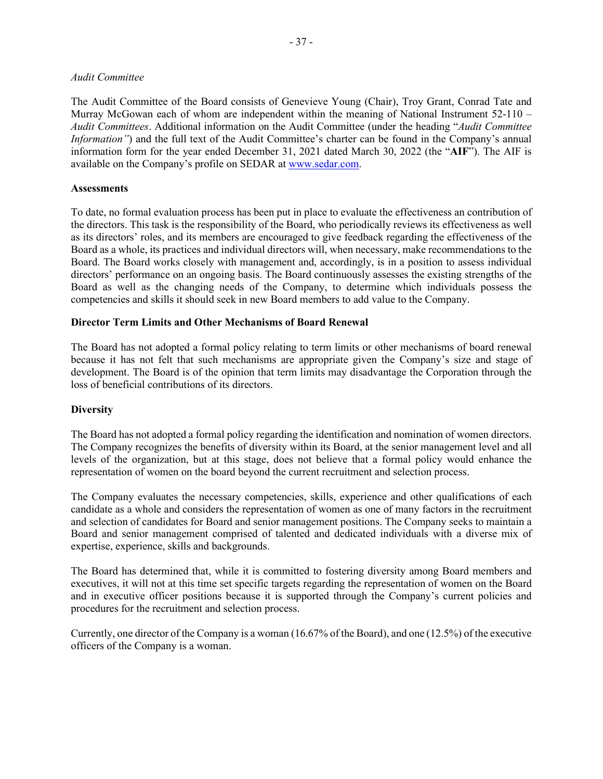#### *Audit Committee*

The Audit Committee of the Board consists of Genevieve Young (Chair), Troy Grant, Conrad Tate and Murray McGowan each of whom are independent within the meaning of National Instrument 52-110 – *Audit Committees*. Additional information on the Audit Committee (under the heading "*Audit Committee Information*") and the full text of the Audit Committee's charter can be found in the Company's annual information form for the year ended December 31, 2021 dated March 30, 2022 (the "**AIF**"). The AIF is available on the Company's profile on SEDAR at [www.sedar.com.](http://www.sedar.com/)

#### **Assessments**

To date, no formal evaluation process has been put in place to evaluate the effectiveness an contribution of the directors. This task is the responsibility of the Board, who periodically reviews its effectiveness as well as its directors' roles, and its members are encouraged to give feedback regarding the effectiveness of the Board as a whole, its practices and individual directors will, when necessary, make recommendations to the Board. The Board works closely with management and, accordingly, is in a position to assess individual directors' performance on an ongoing basis. The Board continuously assesses the existing strengths of the Board as well as the changing needs of the Company, to determine which individuals possess the competencies and skills it should seek in new Board members to add value to the Company.

#### **Director Term Limits and Other Mechanisms of Board Renewal**

The Board has not adopted a formal policy relating to term limits or other mechanisms of board renewal because it has not felt that such mechanisms are appropriate given the Company's size and stage of development. The Board is of the opinion that term limits may disadvantage the Corporation through the loss of beneficial contributions of its directors.

#### **Diversity**

The Board has not adopted a formal policy regarding the identification and nomination of women directors. The Company recognizes the benefits of diversity within its Board, at the senior management level and all levels of the organization, but at this stage, does not believe that a formal policy would enhance the representation of women on the board beyond the current recruitment and selection process.

The Company evaluates the necessary competencies, skills, experience and other qualifications of each candidate as a whole and considers the representation of women as one of many factors in the recruitment and selection of candidates for Board and senior management positions. The Company seeks to maintain a Board and senior management comprised of talented and dedicated individuals with a diverse mix of expertise, experience, skills and backgrounds.

The Board has determined that, while it is committed to fostering diversity among Board members and executives, it will not at this time set specific targets regarding the representation of women on the Board and in executive officer positions because it is supported through the Company's current policies and procedures for the recruitment and selection process.

Currently, one director of the Company is a woman (16.67% of the Board), and one (12.5%) of the executive officers of the Company is a woman.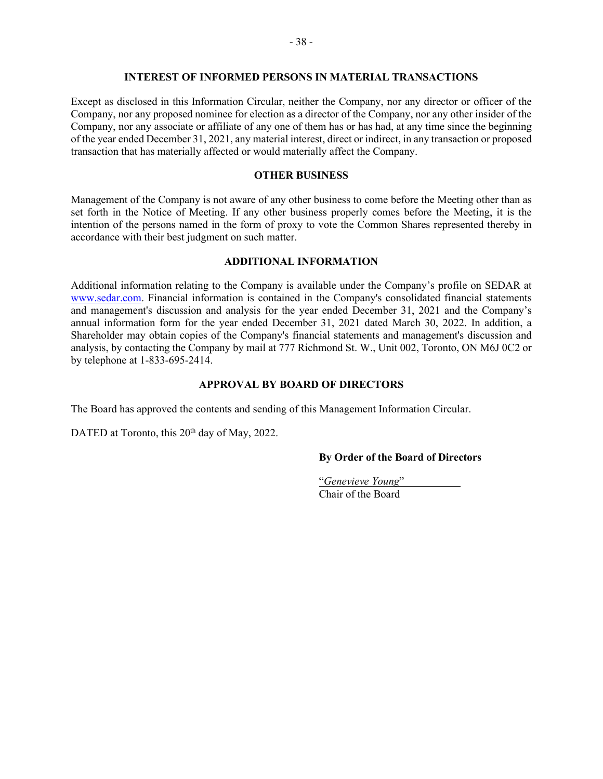#### **INTEREST OF INFORMED PERSONS IN MATERIAL TRANSACTIONS**

Except as disclosed in this Information Circular, neither the Company, nor any director or officer of the Company, nor any proposed nominee for election as a director of the Company, nor any other insider of the Company, nor any associate or affiliate of any one of them has or has had, at any time since the beginning of the year ended December 31, 2021, any material interest, direct or indirect, in any transaction or proposed transaction that has materially affected or would materially affect the Company.

#### **OTHER BUSINESS**

Management of the Company is not aware of any other business to come before the Meeting other than as set forth in the Notice of Meeting. If any other business properly comes before the Meeting, it is the intention of the persons named in the form of proxy to vote the Common Shares represented thereby in accordance with their best judgment on such matter.

#### **ADDITIONAL INFORMATION**

Additional information relating to the Company is available under the Company's profile on SEDAR at [www.sedar.com.](http://www.sedar.com/) Financial information is contained in the Company's consolidated financial statements and management's discussion and analysis for the year ended December 31, 2021 and the Company's annual information form for the year ended December 31, 2021 dated March 30, 2022. In addition, a Shareholder may obtain copies of the Company's financial statements and management's discussion and analysis, by contacting the Company by mail at 777 Richmond St. W., Unit 002, Toronto, ON M6J 0C2 or by telephone at 1-833-695-2414.

#### **APPROVAL BY BOARD OF DIRECTORS**

The Board has approved the contents and sending of this Management Information Circular.

DATED at Toronto, this 20<sup>th</sup> day of May, 2022.

# **By Order of the Board of Directors**

"*Genevieve Young*" Chair of the Board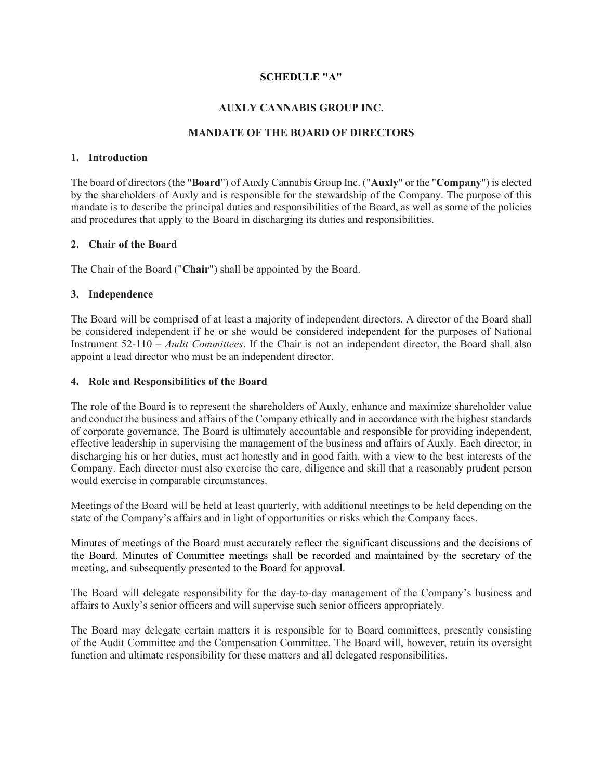# **SCHEDULE "A"**

# **AUXLY CANNABIS GROUP INC.**

# **MANDATE OF THE BOARD OF DIRECTORS**

# **1. Introduction**

The board of directors (the "**Board**") of Auxly Cannabis Group Inc. ("**Auxly**" or the "**Company**") is elected by the shareholders of Auxly and is responsible for the stewardship of the Company. The purpose of this mandate is to describe the principal duties and responsibilities of the Board, as well as some of the policies and procedures that apply to the Board in discharging its duties and responsibilities.

# **2. Chair of the Board**

The Chair of the Board ("**Chair**") shall be appointed by the Board.

# **3. Independence**

The Board will be comprised of at least a majority of independent directors. A director of the Board shall be considered independent if he or she would be considered independent for the purposes of National Instrument 52-110 – *Audit Committees*. If the Chair is not an independent director, the Board shall also appoint a lead director who must be an independent director.

#### **4. Role and Responsibilities of the Board**

The role of the Board is to represent the shareholders of Auxly, enhance and maximize shareholder value and conduct the business and affairs of the Company ethically and in accordance with the highest standards of corporate governance. The Board is ultimately accountable and responsible for providing independent, effective leadership in supervising the management of the business and affairs of Auxly. Each director, in discharging his or her duties, must act honestly and in good faith, with a view to the best interests of the Company. Each director must also exercise the care, diligence and skill that a reasonably prudent person would exercise in comparable circumstances.

Meetings of the Board will be held at least quarterly, with additional meetings to be held depending on the state of the Company's affairs and in light of opportunities or risks which the Company faces.

Minutes of meetings of the Board must accurately reflect the significant discussions and the decisions of the Board. Minutes of Committee meetings shall be recorded and maintained by the secretary of the meeting, and subsequently presented to the Board for approval.

The Board will delegate responsibility for the day-to-day management of the Company's business and affairs to Auxly's senior officers and will supervise such senior officers appropriately.

The Board may delegate certain matters it is responsible for to Board committees, presently consisting of the Audit Committee and the Compensation Committee. The Board will, however, retain its oversight function and ultimate responsibility for these matters and all delegated responsibilities.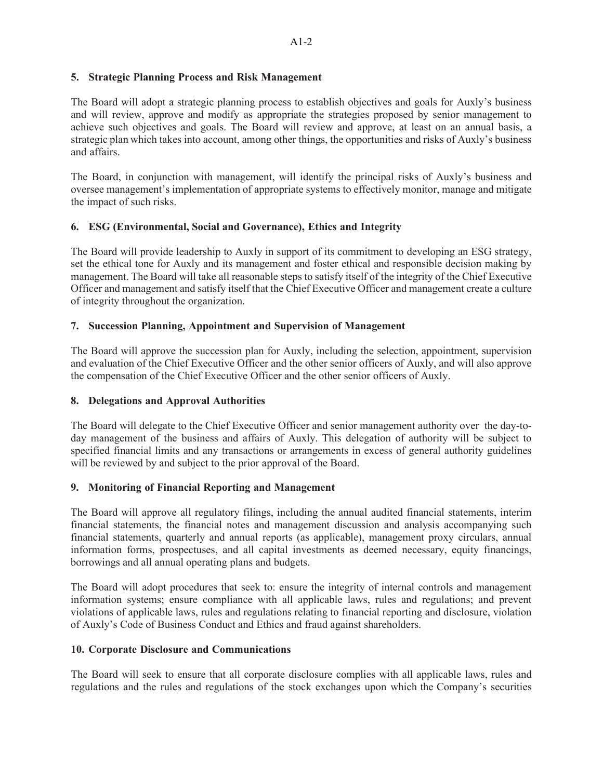# **5. Strategic Planning Process and Risk Management**

The Board will adopt a strategic planning process to establish objectives and goals for Auxly's business and will review, approve and modify as appropriate the strategies proposed by senior management to achieve such objectives and goals. The Board will review and approve, at least on an annual basis, a strategic plan which takes into account, among other things, the opportunities and risks of Auxly's business and affairs.

The Board, in conjunction with management, will identify the principal risks of Auxly's business and oversee management's implementation of appropriate systems to effectively monitor, manage and mitigate the impact of such risks.

# **6. ESG (Environmental, Social and Governance), Ethics and Integrity**

The Board will provide leadership to Auxly in support of its commitment to developing an ESG strategy, set the ethical tone for Auxly and its management and foster ethical and responsible decision making by management. The Board will take all reasonable steps to satisfy itself of the integrity of the Chief Executive Officer and management and satisfy itself that the Chief Executive Officer and management create a culture of integrity throughout the organization.

# **7. Succession Planning, Appointment and Supervision of Management**

The Board will approve the succession plan for Auxly, including the selection, appointment, supervision and evaluation of the Chief Executive Officer and the other senior officers of Auxly, and will also approve the compensation of the Chief Executive Officer and the other senior officers of Auxly.

# **8. Delegations and Approval Authorities**

The Board will delegate to the Chief Executive Officer and senior management authority over the day-today management of the business and affairs of Auxly. This delegation of authority will be subject to specified financial limits and any transactions or arrangements in excess of general authority guidelines will be reviewed by and subject to the prior approval of the Board.

# **9. Monitoring of Financial Reporting and Management**

The Board will approve all regulatory filings, including the annual audited financial statements, interim financial statements, the financial notes and management discussion and analysis accompanying such financial statements, quarterly and annual reports (as applicable), management proxy circulars, annual information forms, prospectuses, and all capital investments as deemed necessary, equity financings, borrowings and all annual operating plans and budgets.

The Board will adopt procedures that seek to: ensure the integrity of internal controls and management information systems; ensure compliance with all applicable laws, rules and regulations; and prevent violations of applicable laws, rules and regulations relating to financial reporting and disclosure, violation of Auxly's Code of Business Conduct and Ethics and fraud against shareholders.

# **10. Corporate Disclosure and Communications**

The Board will seek to ensure that all corporate disclosure complies with all applicable laws, rules and regulations and the rules and regulations of the stock exchanges upon which the Company's securities